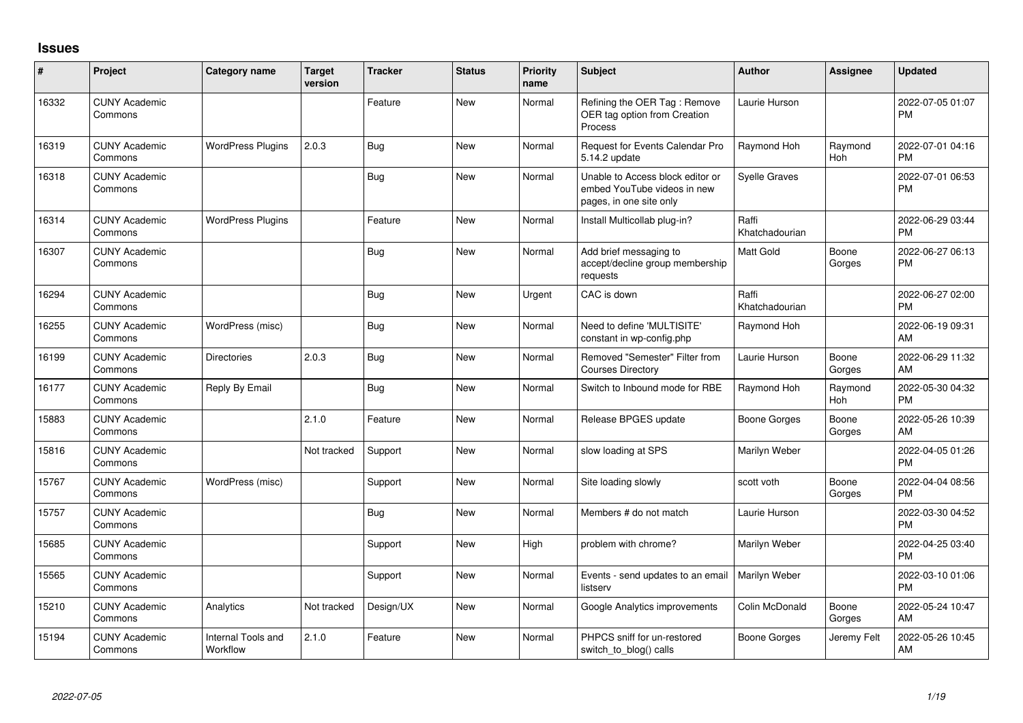## **Issues**

| ∦     | Project                         | <b>Category name</b>           | <b>Target</b><br>version | <b>Tracker</b> | <b>Status</b> | Priority<br>name | <b>Subject</b>                                                                             | Author                  | <b>Assignee</b>       | <b>Updated</b>                |
|-------|---------------------------------|--------------------------------|--------------------------|----------------|---------------|------------------|--------------------------------------------------------------------------------------------|-------------------------|-----------------------|-------------------------------|
| 16332 | <b>CUNY Academic</b><br>Commons |                                |                          | Feature        | <b>New</b>    | Normal           | Refining the OER Tag: Remove<br>OER tag option from Creation<br>Process                    | Laurie Hurson           |                       | 2022-07-05 01:07<br><b>PM</b> |
| 16319 | <b>CUNY Academic</b><br>Commons | <b>WordPress Plugins</b>       | 2.0.3                    | <b>Bug</b>     | <b>New</b>    | Normal           | <b>Request for Events Calendar Pro</b><br>5.14.2 update                                    | Raymond Hoh             | Raymond<br><b>Hoh</b> | 2022-07-01 04:16<br><b>PM</b> |
| 16318 | <b>CUNY Academic</b><br>Commons |                                |                          | <b>Bug</b>     | <b>New</b>    | Normal           | Unable to Access block editor or<br>embed YouTube videos in new<br>pages, in one site only | <b>Syelle Graves</b>    |                       | 2022-07-01 06:53<br><b>PM</b> |
| 16314 | <b>CUNY Academic</b><br>Commons | <b>WordPress Plugins</b>       |                          | Feature        | <b>New</b>    | Normal           | Install Multicollab plug-in?                                                               | Raffi<br>Khatchadourian |                       | 2022-06-29 03:44<br><b>PM</b> |
| 16307 | <b>CUNY Academic</b><br>Commons |                                |                          | <b>Bug</b>     | <b>New</b>    | Normal           | Add brief messaging to<br>accept/decline group membership<br>requests                      | <b>Matt Gold</b>        | Boone<br>Gorges       | 2022-06-27 06:13<br><b>PM</b> |
| 16294 | <b>CUNY Academic</b><br>Commons |                                |                          | Bug            | New           | Urgent           | CAC is down                                                                                | Raffi<br>Khatchadourian |                       | 2022-06-27 02:00<br><b>PM</b> |
| 16255 | <b>CUNY Academic</b><br>Commons | WordPress (misc)               |                          | Bug            | New           | Normal           | Need to define 'MULTISITE'<br>constant in wp-config.php                                    | Raymond Hoh             |                       | 2022-06-19 09:31<br>AM        |
| 16199 | <b>CUNY Academic</b><br>Commons | <b>Directories</b>             | 2.0.3                    | <b>Bug</b>     | New           | Normal           | Removed "Semester" Filter from<br><b>Courses Directory</b>                                 | Laurie Hurson           | Boone<br>Gorges       | 2022-06-29 11:32<br>AM        |
| 16177 | <b>CUNY Academic</b><br>Commons | Reply By Email                 |                          | Bug            | New           | Normal           | Switch to Inbound mode for RBE                                                             | Raymond Hoh             | Raymond<br>Hoh        | 2022-05-30 04:32<br><b>PM</b> |
| 15883 | <b>CUNY Academic</b><br>Commons |                                | 2.1.0                    | Feature        | <b>New</b>    | Normal           | Release BPGES update                                                                       | Boone Gorges            | Boone<br>Gorges       | 2022-05-26 10:39<br>AM        |
| 15816 | <b>CUNY Academic</b><br>Commons |                                | Not tracked              | Support        | <b>New</b>    | Normal           | slow loading at SPS                                                                        | Marilyn Weber           |                       | 2022-04-05 01:26<br><b>PM</b> |
| 15767 | <b>CUNY Academic</b><br>Commons | WordPress (misc)               |                          | Support        | <b>New</b>    | Normal           | Site loading slowly                                                                        | scott voth              | Boone<br>Gorges       | 2022-04-04 08:56<br><b>PM</b> |
| 15757 | <b>CUNY Academic</b><br>Commons |                                |                          | <b>Bug</b>     | <b>New</b>    | Normal           | Members # do not match                                                                     | Laurie Hurson           |                       | 2022-03-30 04:52<br><b>PM</b> |
| 15685 | <b>CUNY Academic</b><br>Commons |                                |                          | Support        | New           | High             | problem with chrome?                                                                       | Marilyn Weber           |                       | 2022-04-25 03:40<br><b>PM</b> |
| 15565 | <b>CUNY Academic</b><br>Commons |                                |                          | Support        | <b>New</b>    | Normal           | Events - send updates to an email<br>listserv                                              | Marilyn Weber           |                       | 2022-03-10 01:06<br><b>PM</b> |
| 15210 | <b>CUNY Academic</b><br>Commons | Analytics                      | Not tracked              | Design/UX      | <b>New</b>    | Normal           | Google Analytics improvements                                                              | Colin McDonald          | Boone<br>Gorges       | 2022-05-24 10:47<br>AM        |
| 15194 | <b>CUNY Academic</b><br>Commons | Internal Tools and<br>Workflow | 2.1.0                    | Feature        | New           | Normal           | PHPCS sniff for un-restored<br>switch_to_blog() calls                                      | Boone Gorges            | Jeremy Felt           | 2022-05-26 10:45<br>AM        |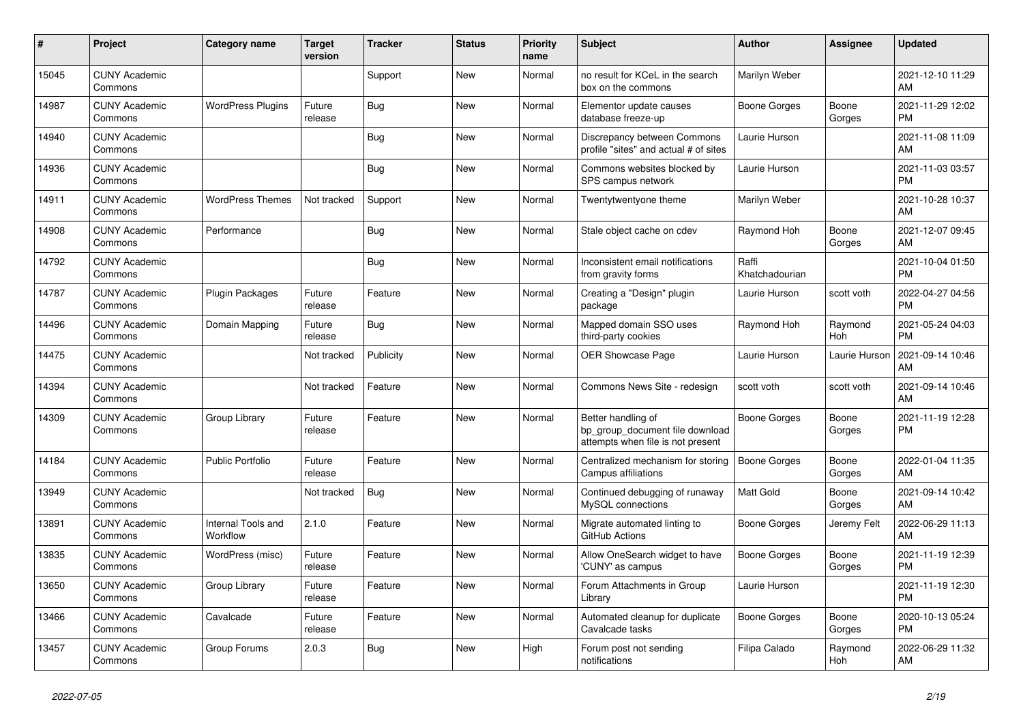| #     | Project                         | <b>Category name</b>           | <b>Target</b><br>version | <b>Tracker</b> | <b>Status</b> | <b>Priority</b><br>name | <b>Subject</b>                                                                             | <b>Author</b>           | <b>Assignee</b> | <b>Updated</b>                |
|-------|---------------------------------|--------------------------------|--------------------------|----------------|---------------|-------------------------|--------------------------------------------------------------------------------------------|-------------------------|-----------------|-------------------------------|
| 15045 | <b>CUNY Academic</b><br>Commons |                                |                          | Support        | New           | Normal                  | no result for KCeL in the search<br>box on the commons                                     | Marilyn Weber           |                 | 2021-12-10 11:29<br>AM        |
| 14987 | <b>CUNY Academic</b><br>Commons | <b>WordPress Plugins</b>       | Future<br>release        | Bug            | New           | Normal                  | Elementor update causes<br>database freeze-up                                              | Boone Gorges            | Boone<br>Gorges | 2021-11-29 12:02<br><b>PM</b> |
| 14940 | <b>CUNY Academic</b><br>Commons |                                |                          | <b>Bug</b>     | <b>New</b>    | Normal                  | Discrepancy between Commons<br>profile "sites" and actual # of sites                       | Laurie Hurson           |                 | 2021-11-08 11:09<br>AM        |
| 14936 | <b>CUNY Academic</b><br>Commons |                                |                          | <b>Bug</b>     | <b>New</b>    | Normal                  | Commons websites blocked by<br>SPS campus network                                          | Laurie Hurson           |                 | 2021-11-03 03:57<br><b>PM</b> |
| 14911 | <b>CUNY Academic</b><br>Commons | <b>WordPress Themes</b>        | Not tracked              | Support        | New           | Normal                  | Twentytwentyone theme                                                                      | Marilyn Weber           |                 | 2021-10-28 10:37<br>AM        |
| 14908 | <b>CUNY Academic</b><br>Commons | Performance                    |                          | Bug            | <b>New</b>    | Normal                  | Stale object cache on cdev                                                                 | Raymond Hoh             | Boone<br>Gorges | 2021-12-07 09:45<br>AM        |
| 14792 | <b>CUNY Academic</b><br>Commons |                                |                          | <b>Bug</b>     | <b>New</b>    | Normal                  | Inconsistent email notifications<br>from gravity forms                                     | Raffi<br>Khatchadourian |                 | 2021-10-04 01:50<br><b>PM</b> |
| 14787 | <b>CUNY Academic</b><br>Commons | Plugin Packages                | Future<br>release        | Feature        | New           | Normal                  | Creating a "Design" plugin<br>package                                                      | Laurie Hurson           | scott voth      | 2022-04-27 04:56<br><b>PM</b> |
| 14496 | <b>CUNY Academic</b><br>Commons | Domain Mapping                 | Future<br>release        | <b>Bug</b>     | <b>New</b>    | Normal                  | Mapped domain SSO uses<br>third-party cookies                                              | Raymond Hoh             | Raymond<br>Hoh  | 2021-05-24 04:03<br><b>PM</b> |
| 14475 | <b>CUNY Academic</b><br>Commons |                                | Not tracked              | Publicity      | <b>New</b>    | Normal                  | <b>OER Showcase Page</b>                                                                   | Laurie Hurson           | Laurie Hurson   | 2021-09-14 10:46<br>AM        |
| 14394 | <b>CUNY Academic</b><br>Commons |                                | Not tracked              | Feature        | New           | Normal                  | Commons News Site - redesign                                                               | scott voth              | scott voth      | 2021-09-14 10:46<br>AM        |
| 14309 | <b>CUNY Academic</b><br>Commons | Group Library                  | Future<br>release        | Feature        | <b>New</b>    | Normal                  | Better handling of<br>bp_group_document file download<br>attempts when file is not present | Boone Gorges            | Boone<br>Gorges | 2021-11-19 12:28<br><b>PM</b> |
| 14184 | <b>CUNY Academic</b><br>Commons | <b>Public Portfolio</b>        | Future<br>release        | Feature        | <b>New</b>    | Normal                  | Centralized mechanism for storing<br>Campus affiliations                                   | Boone Gorges            | Boone<br>Gorges | 2022-01-04 11:35<br>AM        |
| 13949 | <b>CUNY Academic</b><br>Commons |                                | Not tracked              | <b>Bug</b>     | New           | Normal                  | Continued debugging of runaway<br>MySQL connections                                        | <b>Matt Gold</b>        | Boone<br>Gorges | 2021-09-14 10:42<br>AM        |
| 13891 | <b>CUNY Academic</b><br>Commons | Internal Tools and<br>Workflow | 2.1.0                    | Feature        | New           | Normal                  | Migrate automated linting to<br>GitHub Actions                                             | Boone Gorges            | Jeremy Felt     | 2022-06-29 11:13<br>AM        |
| 13835 | <b>CUNY Academic</b><br>Commons | WordPress (misc)               | Future<br>release        | Feature        | <b>New</b>    | Normal                  | Allow OneSearch widget to have<br>'CUNY' as campus                                         | Boone Gorges            | Boone<br>Gorges | 2021-11-19 12:39<br><b>PM</b> |
| 13650 | <b>CUNY Academic</b><br>Commons | Group Library                  | Future<br>release        | Feature        | New           | Normal                  | Forum Attachments in Group<br>Library                                                      | Laurie Hurson           |                 | 2021-11-19 12:30<br><b>PM</b> |
| 13466 | <b>CUNY Academic</b><br>Commons | Cavalcade                      | Future<br>release        | Feature        | <b>New</b>    | Normal                  | Automated cleanup for duplicate<br>Cavalcade tasks                                         | Boone Gorges            | Boone<br>Gorges | 2020-10-13 05:24<br><b>PM</b> |
| 13457 | <b>CUNY Academic</b><br>Commons | Group Forums                   | 2.0.3                    | Bug            | <b>New</b>    | High                    | Forum post not sending<br>notifications                                                    | Filipa Calado           | Raymond<br>Hoh  | 2022-06-29 11:32<br>AM        |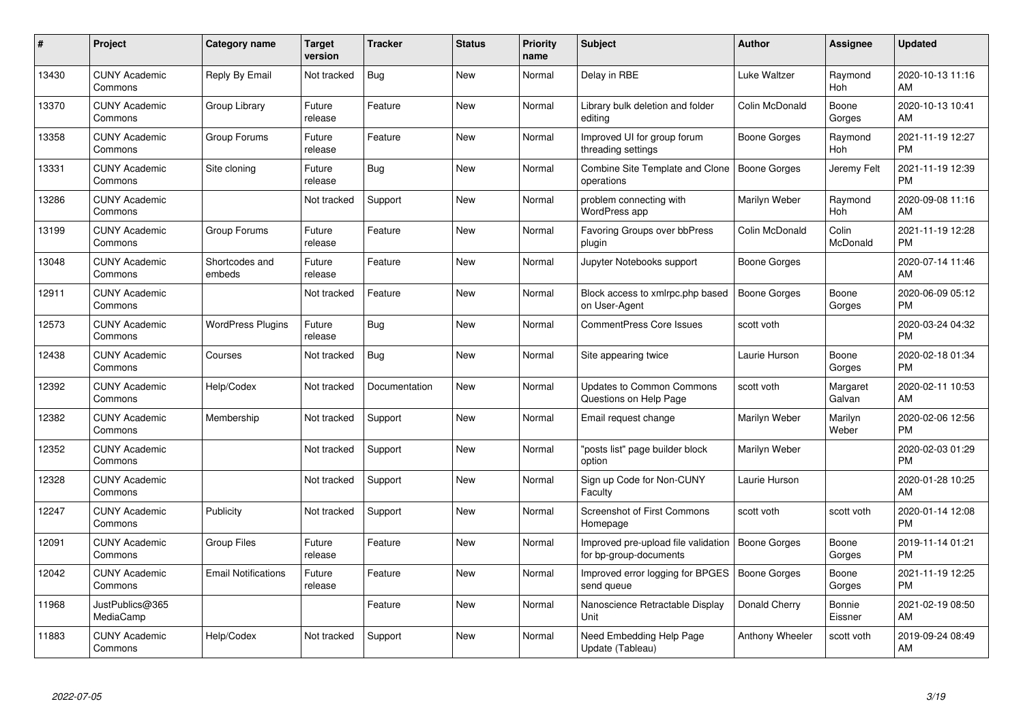| #     | <b>Project</b>                  | <b>Category name</b>       | Target<br>version | <b>Tracker</b> | <b>Status</b> | <b>Priority</b><br>name | <b>Subject</b>                                                | <b>Author</b>       | Assignee           | <b>Updated</b>                |
|-------|---------------------------------|----------------------------|-------------------|----------------|---------------|-------------------------|---------------------------------------------------------------|---------------------|--------------------|-------------------------------|
| 13430 | <b>CUNY Academic</b><br>Commons | Reply By Email             | Not tracked       | Bug            | <b>New</b>    | Normal                  | Delay in RBE                                                  | Luke Waltzer        | Raymond<br>Hoh     | 2020-10-13 11:16<br>AM        |
| 13370 | <b>CUNY Academic</b><br>Commons | Group Library              | Future<br>release | Feature        | New           | Normal                  | Library bulk deletion and folder<br>editing                   | Colin McDonald      | Boone<br>Gorges    | 2020-10-13 10:41<br>AM        |
| 13358 | <b>CUNY Academic</b><br>Commons | Group Forums               | Future<br>release | Feature        | <b>New</b>    | Normal                  | Improved UI for group forum<br>threading settings             | Boone Gorges        | Raymond<br>Hoh     | 2021-11-19 12:27<br><b>PM</b> |
| 13331 | <b>CUNY Academic</b><br>Commons | Site cloning               | Future<br>release | Bug            | New           | Normal                  | Combine Site Template and Clone<br>operations                 | <b>Boone Gorges</b> | Jeremy Felt        | 2021-11-19 12:39<br><b>PM</b> |
| 13286 | <b>CUNY Academic</b><br>Commons |                            | Not tracked       | Support        | <b>New</b>    | Normal                  | problem connecting with<br>WordPress app                      | Marilyn Weber       | Raymond<br>Hoh     | 2020-09-08 11:16<br><b>AM</b> |
| 13199 | <b>CUNY Academic</b><br>Commons | Group Forums               | Future<br>release | Feature        | <b>New</b>    | Normal                  | Favoring Groups over bbPress<br>plugin                        | Colin McDonald      | Colin<br>McDonald  | 2021-11-19 12:28<br>PM.       |
| 13048 | <b>CUNY Academic</b><br>Commons | Shortcodes and<br>embeds   | Future<br>release | Feature        | <b>New</b>    | Normal                  | Jupyter Notebooks support                                     | Boone Gorges        |                    | 2020-07-14 11:46<br><b>AM</b> |
| 12911 | <b>CUNY Academic</b><br>Commons |                            | Not tracked       | Feature        | New           | Normal                  | Block access to xmlrpc.php based<br>on User-Agent             | <b>Boone Gorges</b> | Boone<br>Gorges    | 2020-06-09 05:12<br><b>PM</b> |
| 12573 | <b>CUNY Academic</b><br>Commons | <b>WordPress Plugins</b>   | Future<br>release | <b>Bug</b>     | <b>New</b>    | Normal                  | <b>CommentPress Core Issues</b>                               | scott voth          |                    | 2020-03-24 04:32<br><b>PM</b> |
| 12438 | <b>CUNY Academic</b><br>Commons | Courses                    | Not tracked       | Bug            | <b>New</b>    | Normal                  | Site appearing twice                                          | Laurie Hurson       | Boone<br>Gorges    | 2020-02-18 01:34<br><b>PM</b> |
| 12392 | <b>CUNY Academic</b><br>Commons | Help/Codex                 | Not tracked       | Documentation  | New           | Normal                  | <b>Updates to Common Commons</b><br>Questions on Help Page    | scott voth          | Margaret<br>Galvan | 2020-02-11 10:53<br>AM        |
| 12382 | <b>CUNY Academic</b><br>Commons | Membership                 | Not tracked       | Support        | <b>New</b>    | Normal                  | Email request change                                          | Marilyn Weber       | Marilyn<br>Weber   | 2020-02-06 12:56<br><b>PM</b> |
| 12352 | <b>CUNY Academic</b><br>Commons |                            | Not tracked       | Support        | <b>New</b>    | Normal                  | 'posts list" page builder block<br>option                     | Marilyn Weber       |                    | 2020-02-03 01:29<br><b>PM</b> |
| 12328 | <b>CUNY Academic</b><br>Commons |                            | Not tracked       | Support        | <b>New</b>    | Normal                  | Sign up Code for Non-CUNY<br>Faculty                          | Laurie Hurson       |                    | 2020-01-28 10:25<br>AM.       |
| 12247 | <b>CUNY Academic</b><br>Commons | Publicity                  | Not tracked       | Support        | <b>New</b>    | Normal                  | Screenshot of First Commons<br>Homepage                       | scott voth          | scott voth         | 2020-01-14 12:08<br><b>PM</b> |
| 12091 | <b>CUNY Academic</b><br>Commons | Group Files                | Future<br>release | Feature        | New           | Normal                  | Improved pre-upload file validation<br>for bp-group-documents | Boone Gorges        | Boone<br>Gorges    | 2019-11-14 01:21<br><b>PM</b> |
| 12042 | <b>CUNY Academic</b><br>Commons | <b>Email Notifications</b> | Future<br>release | Feature        | <b>New</b>    | Normal                  | Improved error logging for BPGES<br>send queue                | Boone Gorges        | Boone<br>Gorges    | 2021-11-19 12:25<br><b>PM</b> |
| 11968 | JustPublics@365<br>MediaCamp    |                            |                   | Feature        | New           | Normal                  | Nanoscience Retractable Display<br>Unit                       | Donald Cherry       | Bonnie<br>Eissner  | 2021-02-19 08:50<br>AM        |
| 11883 | <b>CUNY Academic</b><br>Commons | Help/Codex                 | Not tracked       | Support        | New           | Normal                  | Need Embedding Help Page<br>Update (Tableau)                  | Anthony Wheeler     | scott voth         | 2019-09-24 08:49<br>AM        |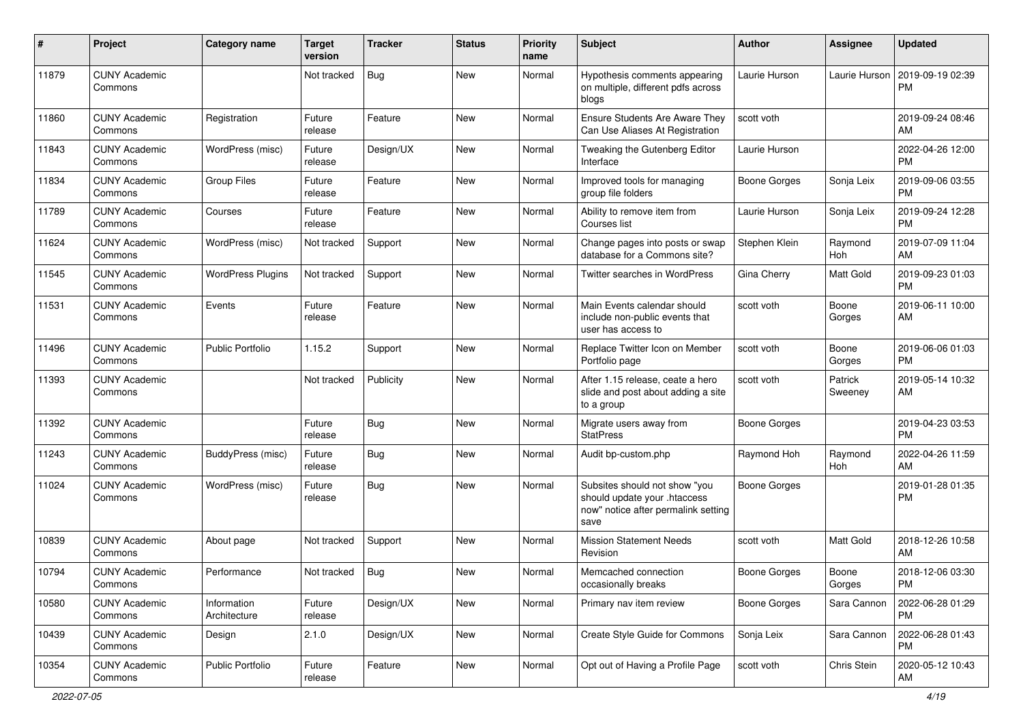| $\#$  | Project                         | <b>Category name</b>        | <b>Target</b><br>version | <b>Tracker</b> | <b>Status</b> | Priority<br>name | <b>Subject</b>                                                                                               | Author              | <b>Assignee</b>    | <b>Updated</b>                |
|-------|---------------------------------|-----------------------------|--------------------------|----------------|---------------|------------------|--------------------------------------------------------------------------------------------------------------|---------------------|--------------------|-------------------------------|
| 11879 | <b>CUNY Academic</b><br>Commons |                             | Not tracked              | <b>Bug</b>     | <b>New</b>    | Normal           | Hypothesis comments appearing<br>on multiple, different pdfs across<br>blogs                                 | Laurie Hurson       | Laurie Hurson      | 2019-09-19 02:39<br><b>PM</b> |
| 11860 | <b>CUNY Academic</b><br>Commons | Registration                | Future<br>release        | Feature        | <b>New</b>    | Normal           | <b>Ensure Students Are Aware They</b><br>Can Use Aliases At Registration                                     | scott voth          |                    | 2019-09-24 08:46<br>AM        |
| 11843 | <b>CUNY Academic</b><br>Commons | WordPress (misc)            | Future<br>release        | Design/UX      | New           | Normal           | Tweaking the Gutenberg Editor<br>Interface                                                                   | Laurie Hurson       |                    | 2022-04-26 12:00<br><b>PM</b> |
| 11834 | <b>CUNY Academic</b><br>Commons | <b>Group Files</b>          | Future<br>release        | Feature        | <b>New</b>    | Normal           | Improved tools for managing<br>group file folders                                                            | <b>Boone Gorges</b> | Sonja Leix         | 2019-09-06 03:55<br><b>PM</b> |
| 11789 | <b>CUNY Academic</b><br>Commons | Courses                     | Future<br>release        | Feature        | <b>New</b>    | Normal           | Ability to remove item from<br>Courses list                                                                  | Laurie Hurson       | Sonja Leix         | 2019-09-24 12:28<br><b>PM</b> |
| 11624 | <b>CUNY Academic</b><br>Commons | WordPress (misc)            | Not tracked              | Support        | <b>New</b>    | Normal           | Change pages into posts or swap<br>database for a Commons site?                                              | Stephen Klein       | Raymond<br>Hoh     | 2019-07-09 11:04<br>AM        |
| 11545 | <b>CUNY Academic</b><br>Commons | <b>WordPress Plugins</b>    | Not tracked              | Support        | New           | Normal           | Twitter searches in WordPress                                                                                | Gina Cherry         | Matt Gold          | 2019-09-23 01:03<br><b>PM</b> |
| 11531 | <b>CUNY Academic</b><br>Commons | Events                      | Future<br>release        | Feature        | <b>New</b>    | Normal           | Main Events calendar should<br>include non-public events that<br>user has access to                          | scott voth          | Boone<br>Gorges    | 2019-06-11 10:00<br>AM        |
| 11496 | <b>CUNY Academic</b><br>Commons | <b>Public Portfolio</b>     | 1.15.2                   | Support        | <b>New</b>    | Normal           | Replace Twitter Icon on Member<br>Portfolio page                                                             | scott voth          | Boone<br>Gorges    | 2019-06-06 01:03<br><b>PM</b> |
| 11393 | <b>CUNY Academic</b><br>Commons |                             | Not tracked              | Publicity      | <b>New</b>    | Normal           | After 1.15 release, ceate a hero<br>slide and post about adding a site<br>to a group                         | scott voth          | Patrick<br>Sweeney | 2019-05-14 10:32<br>AM        |
| 11392 | <b>CUNY Academic</b><br>Commons |                             | Future<br>release        | Bug            | <b>New</b>    | Normal           | Migrate users away from<br><b>StatPress</b>                                                                  | <b>Boone Gorges</b> |                    | 2019-04-23 03:53<br><b>PM</b> |
| 11243 | <b>CUNY Academic</b><br>Commons | BuddyPress (misc)           | Future<br>release        | <b>Bug</b>     | <b>New</b>    | Normal           | Audit bp-custom.php                                                                                          | Raymond Hoh         | Raymond<br>Hoh     | 2022-04-26 11:59<br>AM        |
| 11024 | <b>CUNY Academic</b><br>Commons | WordPress (misc)            | Future<br>release        | Bug            | New           | Normal           | Subsites should not show "you<br>should update your .htaccess<br>now" notice after permalink setting<br>save | <b>Boone Gorges</b> |                    | 2019-01-28 01:35<br><b>PM</b> |
| 10839 | <b>CUNY Academic</b><br>Commons | About page                  | Not tracked              | Support        | <b>New</b>    | Normal           | <b>Mission Statement Needs</b><br>Revision                                                                   | scott voth          | Matt Gold          | 2018-12-26 10:58<br>AM        |
| 10794 | <b>CUNY Academic</b><br>Commons | Performance                 | Not tracked              | Bug            | New           | Normal           | Memcached connection<br>occasionally breaks                                                                  | <b>Boone Gorges</b> | Boone<br>Gorges    | 2018-12-06 03:30<br>PM        |
| 10580 | <b>CUNY Academic</b><br>Commons | Information<br>Architecture | Future<br>release        | Design/UX      | New           | Normal           | Primary nav item review                                                                                      | <b>Boone Gorges</b> | Sara Cannon        | 2022-06-28 01:29<br><b>PM</b> |
| 10439 | <b>CUNY Academic</b><br>Commons | Design                      | 2.1.0                    | Design/UX      | New           | Normal           | Create Style Guide for Commons                                                                               | Sonja Leix          | Sara Cannon        | 2022-06-28 01:43<br><b>PM</b> |
| 10354 | <b>CUNY Academic</b><br>Commons | Public Portfolio            | Future<br>release        | Feature        | New           | Normal           | Opt out of Having a Profile Page                                                                             | scott voth          | Chris Stein        | 2020-05-12 10:43<br>AM        |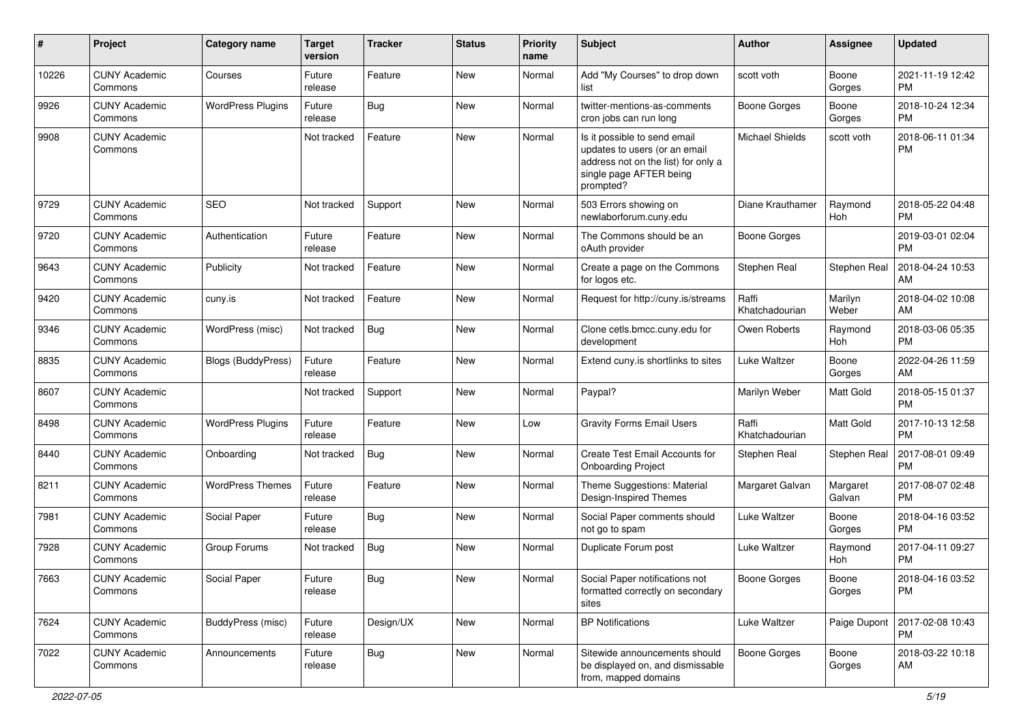| #     | Project                         | <b>Category name</b>     | <b>Target</b><br>version | <b>Tracker</b> | <b>Status</b> | Priority<br>name | Subject                                                                                                                                      | Author                  | <b>Assignee</b>    | <b>Updated</b>                |
|-------|---------------------------------|--------------------------|--------------------------|----------------|---------------|------------------|----------------------------------------------------------------------------------------------------------------------------------------------|-------------------------|--------------------|-------------------------------|
| 10226 | <b>CUNY Academic</b><br>Commons | Courses                  | Future<br>release        | Feature        | <b>New</b>    | Normal           | Add "My Courses" to drop down<br>list                                                                                                        | scott voth              | Boone<br>Gorges    | 2021-11-19 12:42<br><b>PM</b> |
| 9926  | <b>CUNY Academic</b><br>Commons | <b>WordPress Plugins</b> | Future<br>release        | Bug            | New           | Normal           | twitter-mentions-as-comments<br>cron jobs can run long                                                                                       | <b>Boone Gorges</b>     | Boone<br>Gorges    | 2018-10-24 12:34<br><b>PM</b> |
| 9908  | <b>CUNY Academic</b><br>Commons |                          | Not tracked              | Feature        | <b>New</b>    | Normal           | Is it possible to send email<br>updates to users (or an email<br>address not on the list) for only a<br>single page AFTER being<br>prompted? | <b>Michael Shields</b>  | scott voth         | 2018-06-11 01:34<br><b>PM</b> |
| 9729  | <b>CUNY Academic</b><br>Commons | SEO                      | Not tracked              | Support        | <b>New</b>    | Normal           | 503 Errors showing on<br>newlaborforum.cuny.edu                                                                                              | Diane Krauthamer        | Raymond<br>Hoh     | 2018-05-22 04:48<br><b>PM</b> |
| 9720  | <b>CUNY Academic</b><br>Commons | Authentication           | Future<br>release        | Feature        | <b>New</b>    | Normal           | The Commons should be an<br>oAuth provider                                                                                                   | <b>Boone Gorges</b>     |                    | 2019-03-01 02:04<br><b>PM</b> |
| 9643  | <b>CUNY Academic</b><br>Commons | Publicity                | Not tracked              | Feature        | New           | Normal           | Create a page on the Commons<br>for logos etc.                                                                                               | Stephen Real            | Stephen Real       | 2018-04-24 10:53<br>AM        |
| 9420  | <b>CUNY Academic</b><br>Commons | cuny.is                  | Not tracked              | Feature        | <b>New</b>    | Normal           | Request for http://cuny.is/streams                                                                                                           | Raffi<br>Khatchadourian | Marilyn<br>Weber   | 2018-04-02 10:08<br>AM        |
| 9346  | <b>CUNY Academic</b><br>Commons | WordPress (misc)         | Not tracked              | Bug            | New           | Normal           | Clone cetls.bmcc.cuny.edu for<br>development                                                                                                 | Owen Roberts            | Raymond<br>Hoh     | 2018-03-06 05:35<br><b>PM</b> |
| 8835  | <b>CUNY Academic</b><br>Commons | Blogs (BuddyPress)       | Future<br>release        | Feature        | New           | Normal           | Extend cuny.is shortlinks to sites                                                                                                           | Luke Waltzer            | Boone<br>Gorges    | 2022-04-26 11:59<br>AM        |
| 8607  | <b>CUNY Academic</b><br>Commons |                          | Not tracked              | Support        | <b>New</b>    | Normal           | Paypal?                                                                                                                                      | Marilyn Weber           | Matt Gold          | 2018-05-15 01:37<br><b>PM</b> |
| 8498  | <b>CUNY Academic</b><br>Commons | <b>WordPress Plugins</b> | Future<br>release        | Feature        | <b>New</b>    | Low              | <b>Gravity Forms Email Users</b>                                                                                                             | Raffi<br>Khatchadourian | Matt Gold          | 2017-10-13 12:58<br><b>PM</b> |
| 8440  | <b>CUNY Academic</b><br>Commons | Onboarding               | Not tracked              | <b>Bug</b>     | <b>New</b>    | Normal           | Create Test Email Accounts for<br><b>Onboarding Project</b>                                                                                  | Stephen Real            | Stephen Real       | 2017-08-01 09:49<br><b>PM</b> |
| 8211  | <b>CUNY Academic</b><br>Commons | <b>WordPress Themes</b>  | Future<br>release        | Feature        | New           | Normal           | Theme Suggestions: Material<br>Design-Inspired Themes                                                                                        | Margaret Galvan         | Margaret<br>Galvan | 2017-08-07 02:48<br><b>PM</b> |
| 7981  | <b>CUNY Academic</b><br>Commons | Social Paper             | Future<br>release        | Bug            | <b>New</b>    | Normal           | Social Paper comments should<br>not go to spam                                                                                               | Luke Waltzer            | Boone<br>Gorges    | 2018-04-16 03:52<br><b>PM</b> |
| 7928  | <b>CUNY Academic</b><br>Commons | Group Forums             | Not tracked              | Bug            | <b>New</b>    | Normal           | Duplicate Forum post                                                                                                                         | Luke Waltzer            | Raymond<br>Hoh     | 2017-04-11 09:27<br><b>PM</b> |
| 7663  | <b>CUNY Academic</b><br>Commons | Social Paper             | Future<br>release        | Bug            | New           | Normal           | Social Paper notifications not<br>formatted correctly on secondary<br>sites                                                                  | <b>Boone Gorges</b>     | Boone<br>Gorges    | 2018-04-16 03:52<br><b>PM</b> |
| 7624  | <b>CUNY Academic</b><br>Commons | BuddyPress (misc)        | Future<br>release        | Design/UX      | New           | Normal           | <b>BP Notifications</b>                                                                                                                      | Luke Waltzer            | Paige Dupont       | 2017-02-08 10:43<br><b>PM</b> |
| 7022  | <b>CUNY Academic</b><br>Commons | Announcements            | Future<br>release        | Bug            | New           | Normal           | Sitewide announcements should<br>be displayed on, and dismissable<br>from, mapped domains                                                    | <b>Boone Gorges</b>     | Boone<br>Gorges    | 2018-03-22 10:18<br>AM        |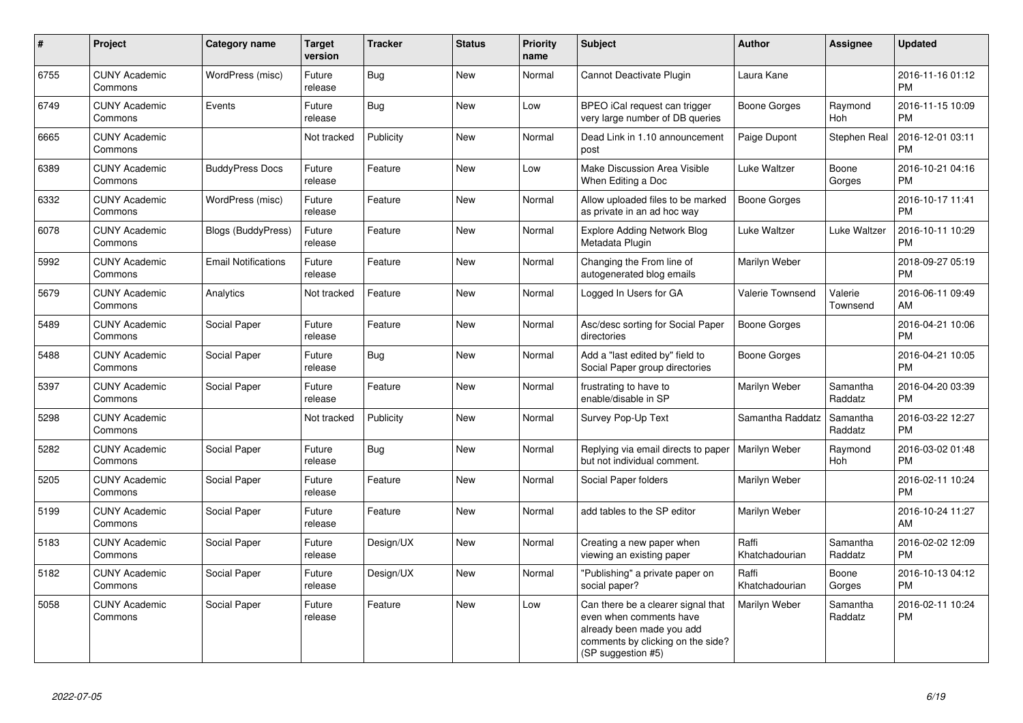| $\pmb{\sharp}$ | Project                         | <b>Category name</b>       | <b>Target</b><br>version | <b>Tracker</b> | <b>Status</b> | <b>Priority</b><br>name | <b>Subject</b>                                                                                                                                        | <b>Author</b>           | Assignee            | <b>Updated</b>                |
|----------------|---------------------------------|----------------------------|--------------------------|----------------|---------------|-------------------------|-------------------------------------------------------------------------------------------------------------------------------------------------------|-------------------------|---------------------|-------------------------------|
| 6755           | <b>CUNY Academic</b><br>Commons | WordPress (misc)           | Future<br>release        | Bug            | <b>New</b>    | Normal                  | Cannot Deactivate Plugin                                                                                                                              | Laura Kane              |                     | 2016-11-16 01:12<br><b>PM</b> |
| 6749           | <b>CUNY Academic</b><br>Commons | Events                     | Future<br>release        | Bug            | <b>New</b>    | Low                     | BPEO iCal request can trigger<br>very large number of DB queries                                                                                      | Boone Gorges            | Raymond<br>Hoh      | 2016-11-15 10:09<br>PM        |
| 6665           | <b>CUNY Academic</b><br>Commons |                            | Not tracked              | Publicity      | New           | Normal                  | Dead Link in 1.10 announcement<br>post                                                                                                                | Paige Dupont            | Stephen Real        | 2016-12-01 03:11<br><b>PM</b> |
| 6389           | <b>CUNY Academic</b><br>Commons | <b>BuddyPress Docs</b>     | Future<br>release        | Feature        | <b>New</b>    | Low                     | Make Discussion Area Visible<br>When Editing a Doc                                                                                                    | Luke Waltzer            | Boone<br>Gorges     | 2016-10-21 04:16<br><b>PM</b> |
| 6332           | <b>CUNY Academic</b><br>Commons | WordPress (misc)           | Future<br>release        | Feature        | New           | Normal                  | Allow uploaded files to be marked<br>as private in an ad hoc way                                                                                      | Boone Gorges            |                     | 2016-10-17 11:41<br><b>PM</b> |
| 6078           | <b>CUNY Academic</b><br>Commons | <b>Blogs (BuddyPress)</b>  | Future<br>release        | Feature        | <b>New</b>    | Normal                  | <b>Explore Adding Network Blog</b><br>Metadata Plugin                                                                                                 | Luke Waltzer            | Luke Waltzer        | 2016-10-11 10:29<br><b>PM</b> |
| 5992           | <b>CUNY Academic</b><br>Commons | <b>Email Notifications</b> | Future<br>release        | Feature        | <b>New</b>    | Normal                  | Changing the From line of<br>autogenerated blog emails                                                                                                | Marilyn Weber           |                     | 2018-09-27 05:19<br><b>PM</b> |
| 5679           | <b>CUNY Academic</b><br>Commons | Analytics                  | Not tracked              | Feature        | New           | Normal                  | Logged In Users for GA                                                                                                                                | Valerie Townsend        | Valerie<br>Townsend | 2016-06-11 09:49<br>AM        |
| 5489           | <b>CUNY Academic</b><br>Commons | Social Paper               | Future<br>release        | Feature        | <b>New</b>    | Normal                  | Asc/desc sorting for Social Paper<br>directories                                                                                                      | Boone Gorges            |                     | 2016-04-21 10:06<br><b>PM</b> |
| 5488           | <b>CUNY Academic</b><br>Commons | Social Paper               | Future<br>release        | <b>Bug</b>     | <b>New</b>    | Normal                  | Add a "last edited by" field to<br>Social Paper group directories                                                                                     | Boone Gorges            |                     | 2016-04-21 10:05<br><b>PM</b> |
| 5397           | <b>CUNY Academic</b><br>Commons | Social Paper               | Future<br>release        | Feature        | New           | Normal                  | frustrating to have to<br>enable/disable in SP                                                                                                        | Marilyn Weber           | Samantha<br>Raddatz | 2016-04-20 03:39<br><b>PM</b> |
| 5298           | <b>CUNY Academic</b><br>Commons |                            | Not tracked              | Publicity      | New           | Normal                  | Survey Pop-Up Text                                                                                                                                    | Samantha Raddatz        | Samantha<br>Raddatz | 2016-03-22 12:27<br><b>PM</b> |
| 5282           | <b>CUNY Academic</b><br>Commons | Social Paper               | Future<br>release        | Bug            | <b>New</b>    | Normal                  | Replying via email directs to paper<br>but not individual comment.                                                                                    | Marilyn Weber           | Raymond<br>Hoh      | 2016-03-02 01:48<br><b>PM</b> |
| 5205           | <b>CUNY Academic</b><br>Commons | Social Paper               | Future<br>release        | Feature        | <b>New</b>    | Normal                  | Social Paper folders                                                                                                                                  | Marilyn Weber           |                     | 2016-02-11 10:24<br><b>PM</b> |
| 5199           | <b>CUNY Academic</b><br>Commons | Social Paper               | Future<br>release        | Feature        | <b>New</b>    | Normal                  | add tables to the SP editor                                                                                                                           | Marilyn Weber           |                     | 2016-10-24 11:27<br>AM        |
| 5183           | <b>CUNY Academic</b><br>Commons | Social Paper               | Future<br>release        | Design/UX      | <b>New</b>    | Normal                  | Creating a new paper when<br>viewing an existing paper                                                                                                | Raffi<br>Khatchadourian | Samantha<br>Raddatz | 2016-02-02 12:09<br><b>PM</b> |
| 5182           | <b>CUNY Academic</b><br>Commons | Social Paper               | Future<br>release        | Design/UX      | New           | Normal                  | "Publishing" a private paper on<br>social paper?                                                                                                      | Raffi<br>Khatchadourian | Boone<br>Gorges     | 2016-10-13 04:12<br><b>PM</b> |
| 5058           | <b>CUNY Academic</b><br>Commons | Social Paper               | Future<br>release        | Feature        | New           | Low                     | Can there be a clearer signal that<br>even when comments have<br>already been made you add<br>comments by clicking on the side?<br>(SP suggestion #5) | Marilyn Weber           | Samantha<br>Raddatz | 2016-02-11 10:24<br><b>PM</b> |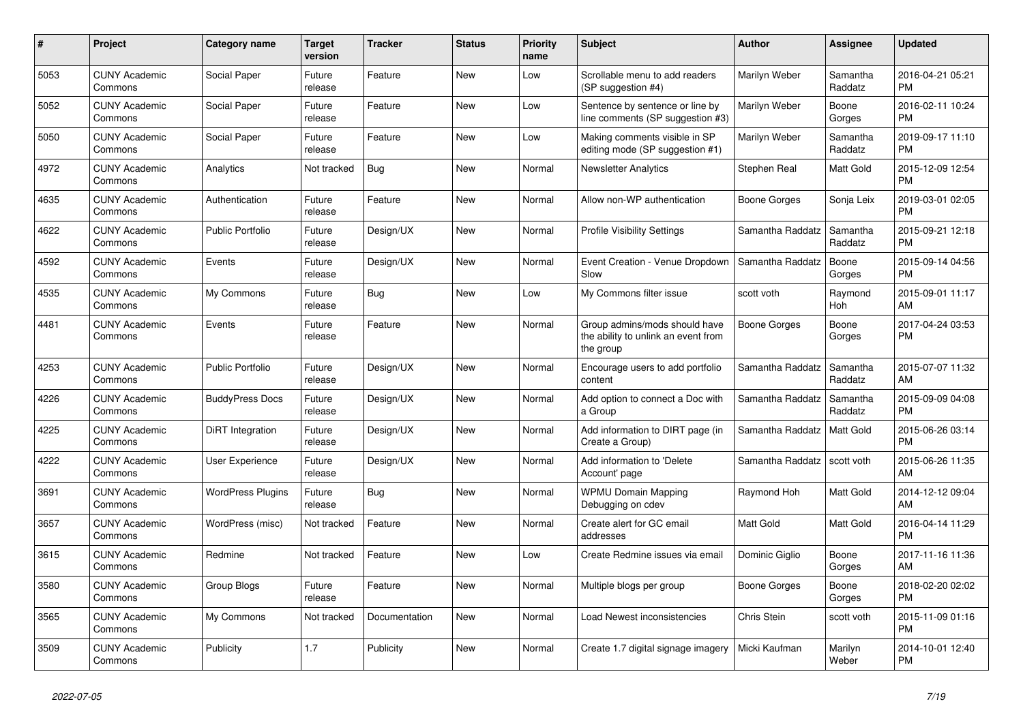| $\pmb{\#}$ | <b>Project</b>                  | Category name            | <b>Target</b><br>version | <b>Tracker</b> | <b>Status</b> | <b>Priority</b><br>name | <b>Subject</b>                                                                    | <b>Author</b>    | Assignee            | <b>Updated</b>                |
|------------|---------------------------------|--------------------------|--------------------------|----------------|---------------|-------------------------|-----------------------------------------------------------------------------------|------------------|---------------------|-------------------------------|
| 5053       | <b>CUNY Academic</b><br>Commons | Social Paper             | Future<br>release        | Feature        | New           | Low                     | Scrollable menu to add readers<br>(SP suggestion #4)                              | Marilyn Weber    | Samantha<br>Raddatz | 2016-04-21 05:21<br><b>PM</b> |
| 5052       | <b>CUNY Academic</b><br>Commons | Social Paper             | Future<br>release        | Feature        | <b>New</b>    | Low                     | Sentence by sentence or line by<br>line comments (SP suggestion #3)               | Marilyn Weber    | Boone<br>Gorges     | 2016-02-11 10:24<br><b>PM</b> |
| 5050       | <b>CUNY Academic</b><br>Commons | Social Paper             | Future<br>release        | Feature        | <b>New</b>    | Low                     | Making comments visible in SP<br>editing mode (SP suggestion #1)                  | Marilyn Weber    | Samantha<br>Raddatz | 2019-09-17 11:10<br><b>PM</b> |
| 4972       | <b>CUNY Academic</b><br>Commons | Analytics                | Not tracked              | <b>Bug</b>     | <b>New</b>    | Normal                  | <b>Newsletter Analytics</b>                                                       | Stephen Real     | Matt Gold           | 2015-12-09 12:54<br><b>PM</b> |
| 4635       | <b>CUNY Academic</b><br>Commons | Authentication           | Future<br>release        | Feature        | <b>New</b>    | Normal                  | Allow non-WP authentication                                                       | Boone Gorges     | Sonja Leix          | 2019-03-01 02:05<br><b>PM</b> |
| 4622       | <b>CUNY Academic</b><br>Commons | <b>Public Portfolio</b>  | Future<br>release        | Design/UX      | New           | Normal                  | <b>Profile Visibility Settings</b>                                                | Samantha Raddatz | Samantha<br>Raddatz | 2015-09-21 12:18<br><b>PM</b> |
| 4592       | <b>CUNY Academic</b><br>Commons | Events                   | Future<br>release        | Design/UX      | <b>New</b>    | Normal                  | Event Creation - Venue Dropdown<br>Slow                                           | Samantha Raddatz | Boone<br>Gorges     | 2015-09-14 04:56<br><b>PM</b> |
| 4535       | <b>CUNY Academic</b><br>Commons | My Commons               | Future<br>release        | <b>Bug</b>     | <b>New</b>    | Low                     | My Commons filter issue                                                           | scott voth       | Raymond<br>Hoh      | 2015-09-01 11:17<br>AM        |
| 4481       | <b>CUNY Academic</b><br>Commons | Events                   | Future<br>release        | Feature        | New           | Normal                  | Group admins/mods should have<br>the ability to unlink an event from<br>the group | Boone Gorges     | Boone<br>Gorges     | 2017-04-24 03:53<br><b>PM</b> |
| 4253       | <b>CUNY Academic</b><br>Commons | <b>Public Portfolio</b>  | Future<br>release        | Design/UX      | <b>New</b>    | Normal                  | Encourage users to add portfolio<br>content                                       | Samantha Raddatz | Samantha<br>Raddatz | 2015-07-07 11:32<br>AM        |
| 4226       | <b>CUNY Academic</b><br>Commons | <b>BuddyPress Docs</b>   | Future<br>release        | Design/UX      | New           | Normal                  | Add option to connect a Doc with<br>a Group                                       | Samantha Raddatz | Samantha<br>Raddatz | 2015-09-09 04:08<br><b>PM</b> |
| 4225       | <b>CUNY Academic</b><br>Commons | DiRT Integration         | Future<br>release        | Design/UX      | <b>New</b>    | Normal                  | Add information to DIRT page (in<br>Create a Group)                               | Samantha Raddatz | Matt Gold           | 2015-06-26 03:14<br><b>PM</b> |
| 4222       | <b>CUNY Academic</b><br>Commons | <b>User Experience</b>   | Future<br>release        | Design/UX      | <b>New</b>    | Normal                  | Add information to 'Delete<br>Account' page                                       | Samantha Raddatz | scott voth          | 2015-06-26 11:35<br>AM        |
| 3691       | <b>CUNY Academic</b><br>Commons | <b>WordPress Plugins</b> | Future<br>release        | Bug            | New           | Normal                  | <b>WPMU Domain Mapping</b><br>Debugging on cdev                                   | Raymond Hoh      | Matt Gold           | 2014-12-12 09:04<br>AM        |
| 3657       | <b>CUNY Academic</b><br>Commons | WordPress (misc)         | Not tracked              | Feature        | New           | Normal                  | Create alert for GC email<br>addresses                                            | Matt Gold        | Matt Gold           | 2016-04-14 11:29<br><b>PM</b> |
| 3615       | <b>CUNY Academic</b><br>Commons | Redmine                  | Not tracked              | Feature        | <b>New</b>    | Low                     | Create Redmine issues via email                                                   | Dominic Giglio   | Boone<br>Gorges     | 2017-11-16 11:36<br>AM        |
| 3580       | <b>CUNY Academic</b><br>Commons | Group Blogs              | Future<br>release        | Feature        | <b>New</b>    | Normal                  | Multiple blogs per group                                                          | Boone Gorges     | Boone<br>Gorges     | 2018-02-20 02:02<br><b>PM</b> |
| 3565       | <b>CUNY Academic</b><br>Commons | My Commons               | Not tracked              | Documentation  | New           | Normal                  | Load Newest inconsistencies                                                       | Chris Stein      | scott voth          | 2015-11-09 01:16<br><b>PM</b> |
| 3509       | <b>CUNY Academic</b><br>Commons | Publicity                | 1.7                      | Publicity      | <b>New</b>    | Normal                  | Create 1.7 digital signage imagery                                                | Micki Kaufman    | Marilyn<br>Weber    | 2014-10-01 12:40<br><b>PM</b> |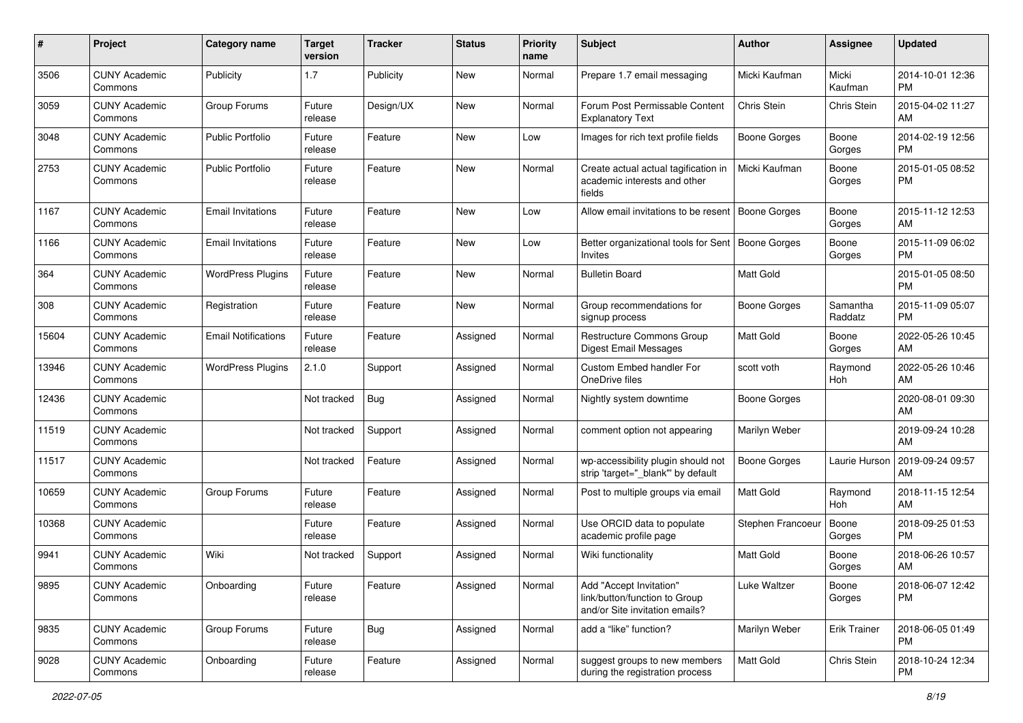| #     | Project                         | <b>Category name</b>       | <b>Target</b><br>version | <b>Tracker</b> | <b>Status</b> | <b>Priority</b><br>name | <b>Subject</b>                                                                             | Author              | <b>Assignee</b>     | <b>Updated</b>                |
|-------|---------------------------------|----------------------------|--------------------------|----------------|---------------|-------------------------|--------------------------------------------------------------------------------------------|---------------------|---------------------|-------------------------------|
| 3506  | <b>CUNY Academic</b><br>Commons | Publicity                  | 1.7                      | Publicity      | <b>New</b>    | Normal                  | Prepare 1.7 email messaging                                                                | Micki Kaufman       | Micki<br>Kaufman    | 2014-10-01 12:36<br><b>PM</b> |
| 3059  | <b>CUNY Academic</b><br>Commons | Group Forums               | Future<br>release        | Design/UX      | New           | Normal                  | Forum Post Permissable Content<br><b>Explanatory Text</b>                                  | Chris Stein         | Chris Stein         | 2015-04-02 11:27<br>AM        |
| 3048  | <b>CUNY Academic</b><br>Commons | <b>Public Portfolio</b>    | Future<br>release        | Feature        | <b>New</b>    | Low                     | Images for rich text profile fields                                                        | Boone Gorges        | Boone<br>Gorges     | 2014-02-19 12:56<br><b>PM</b> |
| 2753  | <b>CUNY Academic</b><br>Commons | <b>Public Portfolio</b>    | Future<br>release        | Feature        | New           | Normal                  | Create actual actual tagification in<br>academic interests and other<br>fields             | Micki Kaufman       | Boone<br>Gorges     | 2015-01-05 08:52<br><b>PM</b> |
| 1167  | <b>CUNY Academic</b><br>Commons | <b>Email Invitations</b>   | Future<br>release        | Feature        | New           | Low                     | Allow email invitations to be resent                                                       | <b>Boone Gorges</b> | Boone<br>Gorges     | 2015-11-12 12:53<br>AM        |
| 1166  | <b>CUNY Academic</b><br>Commons | <b>Email Invitations</b>   | Future<br>release        | Feature        | New           | Low                     | Better organizational tools for Sent   Boone Gorges<br><b>Invites</b>                      |                     | Boone<br>Gorges     | 2015-11-09 06:02<br><b>PM</b> |
| 364   | <b>CUNY Academic</b><br>Commons | <b>WordPress Plugins</b>   | Future<br>release        | Feature        | New           | Normal                  | <b>Bulletin Board</b>                                                                      | <b>Matt Gold</b>    |                     | 2015-01-05 08:50<br><b>PM</b> |
| 308   | <b>CUNY Academic</b><br>Commons | Registration               | Future<br>release        | Feature        | New           | Normal                  | Group recommendations for<br>signup process                                                | <b>Boone Gorges</b> | Samantha<br>Raddatz | 2015-11-09 05:07<br><b>PM</b> |
| 15604 | <b>CUNY Academic</b><br>Commons | <b>Email Notifications</b> | Future<br>release        | Feature        | Assigned      | Normal                  | Restructure Commons Group<br>Digest Email Messages                                         | <b>Matt Gold</b>    | Boone<br>Gorges     | 2022-05-26 10:45<br>AM        |
| 13946 | <b>CUNY Academic</b><br>Commons | <b>WordPress Plugins</b>   | 2.1.0                    | Support        | Assigned      | Normal                  | <b>Custom Embed handler For</b><br>OneDrive files                                          | scott voth          | Raymond<br>Hoh      | 2022-05-26 10:46<br>AM        |
| 12436 | <b>CUNY Academic</b><br>Commons |                            | Not tracked              | Bug            | Assigned      | Normal                  | Nightly system downtime                                                                    | <b>Boone Gorges</b> |                     | 2020-08-01 09:30<br>AM        |
| 11519 | <b>CUNY Academic</b><br>Commons |                            | Not tracked              | Support        | Assigned      | Normal                  | comment option not appearing                                                               | Marilyn Weber       |                     | 2019-09-24 10:28<br>AM        |
| 11517 | <b>CUNY Academic</b><br>Commons |                            | Not tracked              | Feature        | Assigned      | Normal                  | wp-accessibility plugin should not<br>strip 'target="_blank" by default                    | <b>Boone Gorges</b> | Laurie Hurson       | 2019-09-24 09:57<br>AM        |
| 10659 | <b>CUNY Academic</b><br>Commons | Group Forums               | Future<br>release        | Feature        | Assigned      | Normal                  | Post to multiple groups via email                                                          | <b>Matt Gold</b>    | Raymond<br>Hoh      | 2018-11-15 12:54<br>AM        |
| 10368 | <b>CUNY Academic</b><br>Commons |                            | Future<br>release        | Feature        | Assigned      | Normal                  | Use ORCID data to populate<br>academic profile page                                        | Stephen Francoeur   | Boone<br>Gorges     | 2018-09-25 01:53<br><b>PM</b> |
| 9941  | <b>CUNY Academic</b><br>Commons | Wiki                       | Not tracked              | Support        | Assigned      | Normal                  | Wiki functionality                                                                         | <b>Matt Gold</b>    | Boone<br>Gorges     | 2018-06-26 10:57<br>AM        |
| 9895  | <b>CUNY Academic</b><br>Commons | Onboarding                 | Future<br>release        | Feature        | Assigned      | Normal                  | Add "Accept Invitation"<br>link/button/function to Group<br>and/or Site invitation emails? | Luke Waltzer        | Boone<br>Gorges     | 2018-06-07 12:42<br><b>PM</b> |
| 9835  | <b>CUNY Academic</b><br>Commons | Group Forums               | Future<br>release        | Bug            | Assigned      | Normal                  | add a "like" function?                                                                     | Marilyn Weber       | <b>Erik Trainer</b> | 2018-06-05 01:49<br><b>PM</b> |
| 9028  | <b>CUNY Academic</b><br>Commons | Onboarding                 | Future<br>release        | Feature        | Assigned      | Normal                  | suggest groups to new members<br>during the registration process                           | Matt Gold           | Chris Stein         | 2018-10-24 12:34<br><b>PM</b> |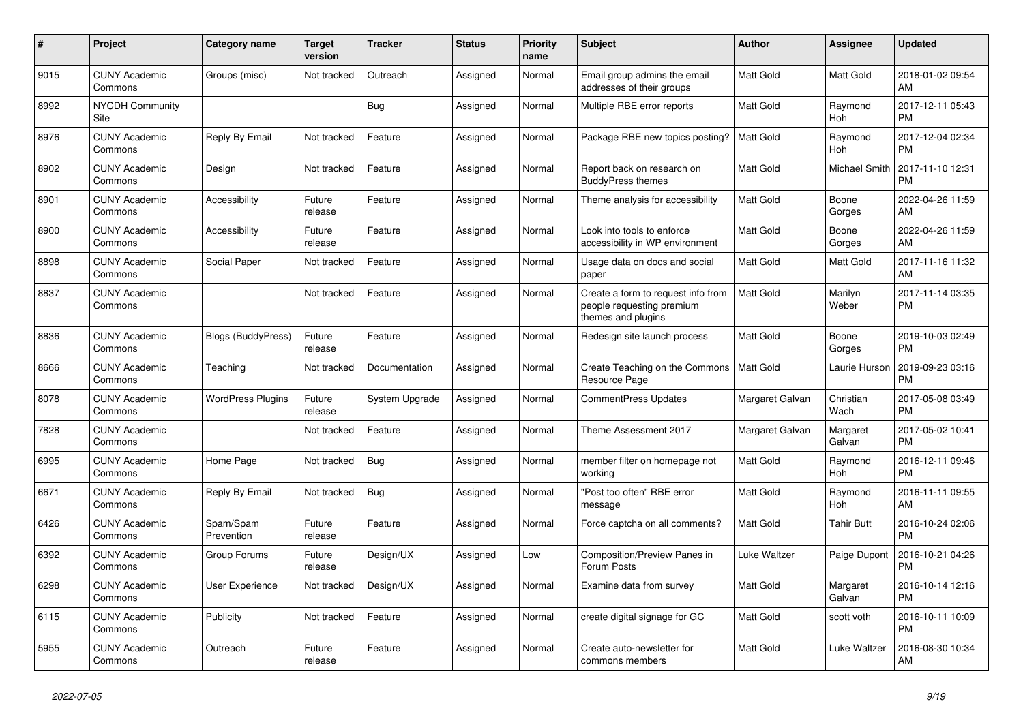| $\#$ | Project                         | Category name             | <b>Target</b><br>version | <b>Tracker</b> | <b>Status</b> | <b>Priority</b><br>name | <b>Subject</b>                                                                        | <b>Author</b>    | <b>Assignee</b>      | <b>Updated</b>                |
|------|---------------------------------|---------------------------|--------------------------|----------------|---------------|-------------------------|---------------------------------------------------------------------------------------|------------------|----------------------|-------------------------------|
| 9015 | <b>CUNY Academic</b><br>Commons | Groups (misc)             | Not tracked              | Outreach       | Assigned      | Normal                  | Email group admins the email<br>addresses of their groups                             | Matt Gold        | Matt Gold            | 2018-01-02 09:54<br>AM        |
| 8992 | <b>NYCDH Community</b><br>Site  |                           |                          | Bug            | Assigned      | Normal                  | Multiple RBE error reports                                                            | <b>Matt Gold</b> | Raymond<br>Hoh       | 2017-12-11 05:43<br><b>PM</b> |
| 8976 | <b>CUNY Academic</b><br>Commons | Reply By Email            | Not tracked              | Feature        | Assigned      | Normal                  | Package RBE new topics posting?                                                       | <b>Matt Gold</b> | Raymond<br>Hoh       | 2017-12-04 02:34<br><b>PM</b> |
| 8902 | <b>CUNY Academic</b><br>Commons | Design                    | Not tracked              | Feature        | Assigned      | Normal                  | Report back on research on<br><b>BuddyPress themes</b>                                | <b>Matt Gold</b> | <b>Michael Smith</b> | 2017-11-10 12:31<br><b>PM</b> |
| 8901 | <b>CUNY Academic</b><br>Commons | Accessibility             | Future<br>release        | Feature        | Assigned      | Normal                  | Theme analysis for accessibility                                                      | <b>Matt Gold</b> | Boone<br>Gorges      | 2022-04-26 11:59<br>AM.       |
| 8900 | <b>CUNY Academic</b><br>Commons | Accessibility             | Future<br>release        | Feature        | Assigned      | Normal                  | Look into tools to enforce<br>accessibility in WP environment                         | <b>Matt Gold</b> | Boone<br>Gorges      | 2022-04-26 11:59<br>AM        |
| 8898 | <b>CUNY Academic</b><br>Commons | Social Paper              | Not tracked              | Feature        | Assigned      | Normal                  | Usage data on docs and social<br>paper                                                | <b>Matt Gold</b> | Matt Gold            | 2017-11-16 11:32<br>AM        |
| 8837 | <b>CUNY Academic</b><br>Commons |                           | Not tracked              | Feature        | Assigned      | Normal                  | Create a form to request info from<br>people requesting premium<br>themes and plugins | <b>Matt Gold</b> | Marilyn<br>Weber     | 2017-11-14 03:35<br><b>PM</b> |
| 8836 | <b>CUNY Academic</b><br>Commons | <b>Blogs (BuddyPress)</b> | Future<br>release        | Feature        | Assigned      | Normal                  | Redesign site launch process                                                          | <b>Matt Gold</b> | Boone<br>Gorges      | 2019-10-03 02:49<br><b>PM</b> |
| 8666 | <b>CUNY Academic</b><br>Commons | Teaching                  | Not tracked              | Documentation  | Assigned      | Normal                  | Create Teaching on the Commons<br>Resource Page                                       | Matt Gold        | Laurie Hurson        | 2019-09-23 03:16<br><b>PM</b> |
| 8078 | <b>CUNY Academic</b><br>Commons | <b>WordPress Plugins</b>  | Future<br>release        | System Upgrade | Assigned      | Normal                  | <b>CommentPress Updates</b>                                                           | Margaret Galvan  | Christian<br>Wach    | 2017-05-08 03:49<br><b>PM</b> |
| 7828 | <b>CUNY Academic</b><br>Commons |                           | Not tracked              | Feature        | Assigned      | Normal                  | Theme Assessment 2017                                                                 | Margaret Galvan  | Margaret<br>Galvan   | 2017-05-02 10:41<br><b>PM</b> |
| 6995 | <b>CUNY Academic</b><br>Commons | Home Page                 | Not tracked              | Bug            | Assigned      | Normal                  | member filter on homepage not<br>working                                              | <b>Matt Gold</b> | Raymond<br>Hoh       | 2016-12-11 09:46<br><b>PM</b> |
| 6671 | <b>CUNY Academic</b><br>Commons | Reply By Email            | Not tracked              | Bug            | Assigned      | Normal                  | "Post too often" RBE error<br>message                                                 | Matt Gold        | Raymond<br>Hoh       | 2016-11-11 09:55<br>AM        |
| 6426 | <b>CUNY Academic</b><br>Commons | Spam/Spam<br>Prevention   | Future<br>release        | Feature        | Assigned      | Normal                  | Force captcha on all comments?                                                        | <b>Matt Gold</b> | <b>Tahir Butt</b>    | 2016-10-24 02:06<br><b>PM</b> |
| 6392 | <b>CUNY Academic</b><br>Commons | Group Forums              | Future<br>release        | Design/UX      | Assigned      | Low                     | Composition/Preview Panes in<br>Forum Posts                                           | Luke Waltzer     | Paige Dupont         | 2016-10-21 04:26<br><b>PM</b> |
| 6298 | <b>CUNY Academic</b><br>Commons | User Experience           | Not tracked              | Design/UX      | Assigned      | Normal                  | Examine data from survey                                                              | Matt Gold        | Margaret<br>Galvan   | 2016-10-14 12:16<br><b>PM</b> |
| 6115 | <b>CUNY Academic</b><br>Commons | Publicity                 | Not tracked              | Feature        | Assigned      | Normal                  | create digital signage for GC                                                         | Matt Gold        | scott voth           | 2016-10-11 10:09<br><b>PM</b> |
| 5955 | <b>CUNY Academic</b><br>Commons | Outreach                  | Future<br>release        | Feature        | Assigned      | Normal                  | Create auto-newsletter for<br>commons members                                         | <b>Matt Gold</b> | Luke Waltzer         | 2016-08-30 10:34<br>AM        |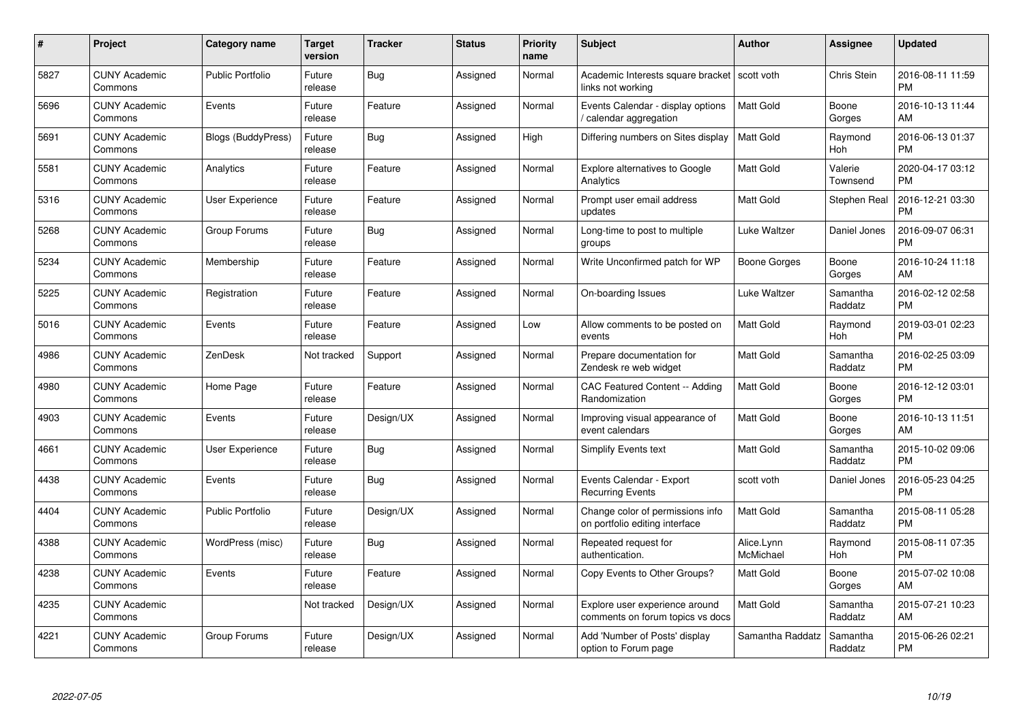| $\#$ | Project                         | <b>Category name</b>      | <b>Target</b><br>version | <b>Tracker</b> | <b>Status</b> | <b>Priority</b><br>name | <b>Subject</b>                                                      | <b>Author</b>           | <b>Assignee</b>     | <b>Updated</b>                |
|------|---------------------------------|---------------------------|--------------------------|----------------|---------------|-------------------------|---------------------------------------------------------------------|-------------------------|---------------------|-------------------------------|
| 5827 | <b>CUNY Academic</b><br>Commons | <b>Public Portfolio</b>   | Future<br>release        | Bug            | Assigned      | Normal                  | Academic Interests square bracket   scott voth<br>links not working |                         | <b>Chris Stein</b>  | 2016-08-11 11:59<br><b>PM</b> |
| 5696 | <b>CUNY Academic</b><br>Commons | Events                    | Future<br>release        | Feature        | Assigned      | Normal                  | Events Calendar - display options<br>calendar aggregation           | <b>Matt Gold</b>        | Boone<br>Gorges     | 2016-10-13 11:44<br>AM        |
| 5691 | <b>CUNY Academic</b><br>Commons | <b>Blogs (BuddyPress)</b> | Future<br>release        | Bug            | Assigned      | High                    | Differing numbers on Sites display                                  | <b>Matt Gold</b>        | Raymond<br>Hoh      | 2016-06-13 01:37<br><b>PM</b> |
| 5581 | <b>CUNY Academic</b><br>Commons | Analytics                 | Future<br>release        | Feature        | Assigned      | Normal                  | Explore alternatives to Google<br>Analytics                         | Matt Gold               | Valerie<br>Townsend | 2020-04-17 03:12<br><b>PM</b> |
| 5316 | <b>CUNY Academic</b><br>Commons | <b>User Experience</b>    | Future<br>release        | Feature        | Assigned      | Normal                  | Prompt user email address<br>updates                                | <b>Matt Gold</b>        | Stephen Real        | 2016-12-21 03:30<br><b>PM</b> |
| 5268 | <b>CUNY Academic</b><br>Commons | Group Forums              | Future<br>release        | Bug            | Assigned      | Normal                  | Long-time to post to multiple<br>groups                             | Luke Waltzer            | Daniel Jones        | 2016-09-07 06:31<br><b>PM</b> |
| 5234 | <b>CUNY Academic</b><br>Commons | Membership                | Future<br>release        | Feature        | Assigned      | Normal                  | Write Unconfirmed patch for WP                                      | Boone Gorges            | Boone<br>Gorges     | 2016-10-24 11:18<br>AM        |
| 5225 | <b>CUNY Academic</b><br>Commons | Registration              | Future<br>release        | Feature        | Assigned      | Normal                  | On-boarding Issues                                                  | Luke Waltzer            | Samantha<br>Raddatz | 2016-02-12 02:58<br><b>PM</b> |
| 5016 | <b>CUNY Academic</b><br>Commons | Events                    | Future<br>release        | Feature        | Assigned      | Low                     | Allow comments to be posted on<br>events                            | <b>Matt Gold</b>        | Raymond<br>Hoh      | 2019-03-01 02:23<br><b>PM</b> |
| 4986 | <b>CUNY Academic</b><br>Commons | ZenDesk                   | Not tracked              | Support        | Assigned      | Normal                  | Prepare documentation for<br>Zendesk re web widget                  | <b>Matt Gold</b>        | Samantha<br>Raddatz | 2016-02-25 03:09<br><b>PM</b> |
| 4980 | <b>CUNY Academic</b><br>Commons | Home Page                 | Future<br>release        | Feature        | Assigned      | Normal                  | <b>CAC Featured Content -- Adding</b><br>Randomization              | <b>Matt Gold</b>        | Boone<br>Gorges     | 2016-12-12 03:01<br><b>PM</b> |
| 4903 | <b>CUNY Academic</b><br>Commons | Events                    | Future<br>release        | Design/UX      | Assigned      | Normal                  | Improving visual appearance of<br>event calendars                   | Matt Gold               | Boone<br>Gorges     | 2016-10-13 11:51<br>AM        |
| 4661 | <b>CUNY Academic</b><br>Commons | <b>User Experience</b>    | Future<br>release        | Bug            | Assigned      | Normal                  | Simplify Events text                                                | Matt Gold               | Samantha<br>Raddatz | 2015-10-02 09:06<br><b>PM</b> |
| 4438 | <b>CUNY Academic</b><br>Commons | Events                    | Future<br>release        | Bug            | Assigned      | Normal                  | Events Calendar - Export<br><b>Recurring Events</b>                 | scott voth              | Daniel Jones        | 2016-05-23 04:25<br><b>PM</b> |
| 4404 | <b>CUNY Academic</b><br>Commons | <b>Public Portfolio</b>   | Future<br>release        | Design/UX      | Assigned      | Normal                  | Change color of permissions info<br>on portfolio editing interface  | Matt Gold               | Samantha<br>Raddatz | 2015-08-11 05:28<br><b>PM</b> |
| 4388 | <b>CUNY Academic</b><br>Commons | WordPress (misc)          | Future<br>release        | <b>Bug</b>     | Assigned      | Normal                  | Repeated request for<br>authentication.                             | Alice.Lynn<br>McMichael | Raymond<br>Hoh      | 2015-08-11 07:35<br><b>PM</b> |
| 4238 | <b>CUNY Academic</b><br>Commons | Events                    | Future<br>release        | Feature        | Assigned      | Normal                  | Copy Events to Other Groups?                                        | Matt Gold               | Boone<br>Gorges     | 2015-07-02 10:08<br>AM        |
| 4235 | <b>CUNY Academic</b><br>Commons |                           | Not tracked              | Design/UX      | Assigned      | Normal                  | Explore user experience around<br>comments on forum topics vs docs  | <b>Matt Gold</b>        | Samantha<br>Raddatz | 2015-07-21 10:23<br>AM        |
| 4221 | <b>CUNY Academic</b><br>Commons | Group Forums              | Future<br>release        | Design/UX      | Assigned      | Normal                  | Add 'Number of Posts' display<br>option to Forum page               | Samantha Raddatz        | Samantha<br>Raddatz | 2015-06-26 02:21<br><b>PM</b> |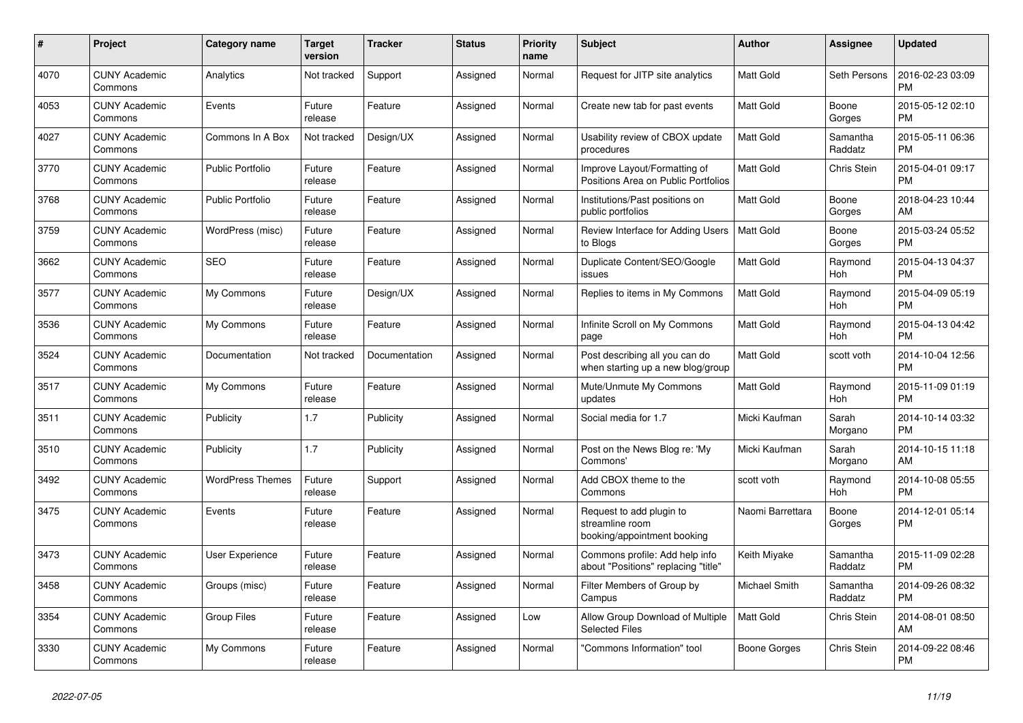| #    | Project                         | Category name           | <b>Target</b><br>version | Tracker       | <b>Status</b> | <b>Priority</b><br>name | <b>Subject</b>                                                             | <b>Author</b>    | Assignee            | <b>Updated</b>                |
|------|---------------------------------|-------------------------|--------------------------|---------------|---------------|-------------------------|----------------------------------------------------------------------------|------------------|---------------------|-------------------------------|
| 4070 | <b>CUNY Academic</b><br>Commons | Analytics               | Not tracked              | Support       | Assigned      | Normal                  | Request for JITP site analytics                                            | <b>Matt Gold</b> | Seth Persons        | 2016-02-23 03:09<br><b>PM</b> |
| 4053 | <b>CUNY Academic</b><br>Commons | Events                  | Future<br>release        | Feature       | Assigned      | Normal                  | Create new tab for past events                                             | <b>Matt Gold</b> | Boone<br>Gorges     | 2015-05-12 02:10<br><b>PM</b> |
| 4027 | <b>CUNY Academic</b><br>Commons | Commons In A Box        | Not tracked              | Design/UX     | Assigned      | Normal                  | Usability review of CBOX update<br>procedures                              | <b>Matt Gold</b> | Samantha<br>Raddatz | 2015-05-11 06:36<br><b>PM</b> |
| 3770 | <b>CUNY Academic</b><br>Commons | <b>Public Portfolio</b> | Future<br>release        | Feature       | Assigned      | Normal                  | Improve Layout/Formatting of<br>Positions Area on Public Portfolios        | <b>Matt Gold</b> | <b>Chris Stein</b>  | 2015-04-01 09:17<br><b>PM</b> |
| 3768 | <b>CUNY Academic</b><br>Commons | <b>Public Portfolio</b> | Future<br>release        | Feature       | Assigned      | Normal                  | Institutions/Past positions on<br>public portfolios                        | Matt Gold        | Boone<br>Gorges     | 2018-04-23 10:44<br>AM        |
| 3759 | <b>CUNY Academic</b><br>Commons | WordPress (misc)        | Future<br>release        | Feature       | Assigned      | Normal                  | Review Interface for Adding Users<br>to Blogs                              | <b>Matt Gold</b> | Boone<br>Gorges     | 2015-03-24 05:52<br><b>PM</b> |
| 3662 | <b>CUNY Academic</b><br>Commons | <b>SEO</b>              | Future<br>release        | Feature       | Assigned      | Normal                  | Duplicate Content/SEO/Google<br>issues                                     | <b>Matt Gold</b> | Raymond<br>Hoh      | 2015-04-13 04:37<br><b>PM</b> |
| 3577 | <b>CUNY Academic</b><br>Commons | My Commons              | Future<br>release        | Design/UX     | Assigned      | Normal                  | Replies to items in My Commons                                             | <b>Matt Gold</b> | Raymond<br>Hoh      | 2015-04-09 05:19<br><b>PM</b> |
| 3536 | <b>CUNY Academic</b><br>Commons | My Commons              | Future<br>release        | Feature       | Assigned      | Normal                  | Infinite Scroll on My Commons<br>page                                      | Matt Gold        | Raymond<br>Hoh      | 2015-04-13 04:42<br><b>PM</b> |
| 3524 | <b>CUNY Academic</b><br>Commons | Documentation           | Not tracked              | Documentation | Assigned      | Normal                  | Post describing all you can do<br>when starting up a new blog/group        | Matt Gold        | scott voth          | 2014-10-04 12:56<br><b>PM</b> |
| 3517 | <b>CUNY Academic</b><br>Commons | My Commons              | Future<br>release        | Feature       | Assigned      | Normal                  | Mute/Unmute My Commons<br>updates                                          | <b>Matt Gold</b> | Raymond<br>Hoh      | 2015-11-09 01:19<br><b>PM</b> |
| 3511 | <b>CUNY Academic</b><br>Commons | Publicity               | 1.7                      | Publicity     | Assigned      | Normal                  | Social media for 1.7                                                       | Micki Kaufman    | Sarah<br>Morgano    | 2014-10-14 03:32<br><b>PM</b> |
| 3510 | <b>CUNY Academic</b><br>Commons | Publicity               | 1.7                      | Publicity     | Assigned      | Normal                  | Post on the News Blog re: 'My<br>Commons'                                  | Micki Kaufman    | Sarah<br>Morgano    | 2014-10-15 11:18<br>AM        |
| 3492 | <b>CUNY Academic</b><br>Commons | <b>WordPress Themes</b> | Future<br>release        | Support       | Assigned      | Normal                  | Add CBOX theme to the<br>Commons                                           | scott voth       | Raymond<br>Hoh      | 2014-10-08 05:55<br><b>PM</b> |
| 3475 | <b>CUNY Academic</b><br>Commons | Events                  | Future<br>release        | Feature       | Assigned      | Normal                  | Request to add plugin to<br>streamline room<br>booking/appointment booking | Naomi Barrettara | Boone<br>Gorges     | 2014-12-01 05:14<br><b>PM</b> |
| 3473 | <b>CUNY Academic</b><br>Commons | User Experience         | Future<br>release        | Feature       | Assigned      | Normal                  | Commons profile: Add help info<br>about "Positions" replacing "title"      | Keith Miyake     | Samantha<br>Raddatz | 2015-11-09 02:28<br><b>PM</b> |
| 3458 | <b>CUNY Academic</b><br>Commons | Groups (misc)           | Future<br>release        | Feature       | Assigned      | Normal                  | Filter Members of Group by<br>Campus                                       | Michael Smith    | Samantha<br>Raddatz | 2014-09-26 08:32<br><b>PM</b> |
| 3354 | <b>CUNY Academic</b><br>Commons | <b>Group Files</b>      | Future<br>release        | Feature       | Assigned      | Low                     | Allow Group Download of Multiple<br><b>Selected Files</b>                  | <b>Matt Gold</b> | <b>Chris Stein</b>  | 2014-08-01 08:50<br>AM        |
| 3330 | <b>CUNY Academic</b><br>Commons | My Commons              | Future<br>release        | Feature       | Assigned      | Normal                  | 'Commons Information" tool                                                 | Boone Gorges     | Chris Stein         | 2014-09-22 08:46<br><b>PM</b> |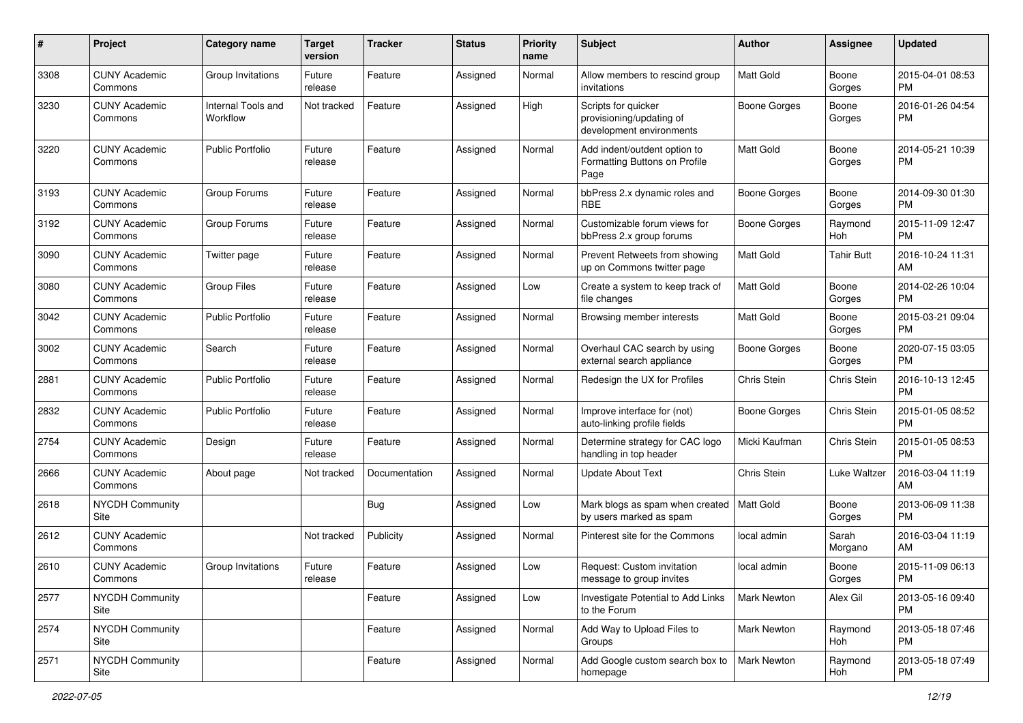| #    | Project                         | <b>Category name</b>           | <b>Target</b><br>version | <b>Tracker</b> | <b>Status</b> | <b>Priority</b><br>name | Subject                                                                     | Author              | <b>Assignee</b>   | <b>Updated</b>                |
|------|---------------------------------|--------------------------------|--------------------------|----------------|---------------|-------------------------|-----------------------------------------------------------------------------|---------------------|-------------------|-------------------------------|
| 3308 | <b>CUNY Academic</b><br>Commons | Group Invitations              | Future<br>release        | Feature        | Assigned      | Normal                  | Allow members to rescind group<br>invitations                               | <b>Matt Gold</b>    | Boone<br>Gorges   | 2015-04-01 08:53<br><b>PM</b> |
| 3230 | <b>CUNY Academic</b><br>Commons | Internal Tools and<br>Workflow | Not tracked              | Feature        | Assigned      | High                    | Scripts for quicker<br>provisioning/updating of<br>development environments | <b>Boone Gorges</b> | Boone<br>Gorges   | 2016-01-26 04:54<br><b>PM</b> |
| 3220 | <b>CUNY Academic</b><br>Commons | <b>Public Portfolio</b>        | Future<br>release        | Feature        | Assigned      | Normal                  | Add indent/outdent option to<br>Formatting Buttons on Profile<br>Page       | <b>Matt Gold</b>    | Boone<br>Gorges   | 2014-05-21 10:39<br><b>PM</b> |
| 3193 | <b>CUNY Academic</b><br>Commons | Group Forums                   | Future<br>release        | Feature        | Assigned      | Normal                  | bbPress 2.x dynamic roles and<br>RBE                                        | <b>Boone Gorges</b> | Boone<br>Gorges   | 2014-09-30 01:30<br><b>PM</b> |
| 3192 | <b>CUNY Academic</b><br>Commons | Group Forums                   | Future<br>release        | Feature        | Assigned      | Normal                  | Customizable forum views for<br>bbPress 2.x group forums                    | Boone Gorges        | Raymond<br>Hoh    | 2015-11-09 12:47<br><b>PM</b> |
| 3090 | <b>CUNY Academic</b><br>Commons | Twitter page                   | Future<br>release        | Feature        | Assigned      | Normal                  | Prevent Retweets from showing<br>up on Commons twitter page                 | <b>Matt Gold</b>    | <b>Tahir Butt</b> | 2016-10-24 11:31<br>AM        |
| 3080 | <b>CUNY Academic</b><br>Commons | <b>Group Files</b>             | Future<br>release        | Feature        | Assigned      | Low                     | Create a system to keep track of<br>file changes                            | <b>Matt Gold</b>    | Boone<br>Gorges   | 2014-02-26 10:04<br><b>PM</b> |
| 3042 | <b>CUNY Academic</b><br>Commons | <b>Public Portfolio</b>        | Future<br>release        | Feature        | Assigned      | Normal                  | Browsing member interests                                                   | Matt Gold           | Boone<br>Gorges   | 2015-03-21 09:04<br><b>PM</b> |
| 3002 | <b>CUNY Academic</b><br>Commons | Search                         | Future<br>release        | Feature        | Assigned      | Normal                  | Overhaul CAC search by using<br>external search appliance                   | <b>Boone Gorges</b> | Boone<br>Gorges   | 2020-07-15 03:05<br><b>PM</b> |
| 2881 | <b>CUNY Academic</b><br>Commons | <b>Public Portfolio</b>        | Future<br>release        | Feature        | Assigned      | Normal                  | Redesign the UX for Profiles                                                | Chris Stein         | Chris Stein       | 2016-10-13 12:45<br><b>PM</b> |
| 2832 | <b>CUNY Academic</b><br>Commons | Public Portfolio               | Future<br>release        | Feature        | Assigned      | Normal                  | Improve interface for (not)<br>auto-linking profile fields                  | <b>Boone Gorges</b> | Chris Stein       | 2015-01-05 08:52<br><b>PM</b> |
| 2754 | <b>CUNY Academic</b><br>Commons | Design                         | Future<br>release        | Feature        | Assigned      | Normal                  | Determine strategy for CAC logo<br>handling in top header                   | Micki Kaufman       | Chris Stein       | 2015-01-05 08:53<br><b>PM</b> |
| 2666 | <b>CUNY Academic</b><br>Commons | About page                     | Not tracked              | Documentation  | Assigned      | Normal                  | <b>Update About Text</b>                                                    | Chris Stein         | Luke Waltzer      | 2016-03-04 11:19<br>AM        |
| 2618 | <b>NYCDH Community</b><br>Site  |                                |                          | Bug            | Assigned      | Low                     | Mark blogs as spam when created<br>by users marked as spam                  | Matt Gold           | Boone<br>Gorges   | 2013-06-09 11:38<br><b>PM</b> |
| 2612 | <b>CUNY Academic</b><br>Commons |                                | Not tracked              | Publicity      | Assigned      | Normal                  | Pinterest site for the Commons                                              | local admin         | Sarah<br>Morgano  | 2016-03-04 11:19<br>AM        |
| 2610 | <b>CUNY Academic</b><br>Commons | Group Invitations              | Future<br>release        | Feature        | Assigned      | Low                     | Request: Custom invitation<br>message to group invites                      | local admin         | Boone<br>Gorges   | 2015-11-09 06:13<br>PM        |
| 2577 | <b>NYCDH Community</b><br>Site  |                                |                          | Feature        | Assigned      | Low                     | Investigate Potential to Add Links<br>to the Forum                          | Mark Newton         | Alex Gil          | 2013-05-16 09:40<br><b>PM</b> |
| 2574 | NYCDH Community<br>Site         |                                |                          | Feature        | Assigned      | Normal                  | Add Way to Upload Files to<br>Groups                                        | Mark Newton         | Raymond<br>Hoh    | 2013-05-18 07:46<br><b>PM</b> |
| 2571 | NYCDH Community<br>Site         |                                |                          | Feature        | Assigned      | Normal                  | Add Google custom search box to<br>homepage                                 | Mark Newton         | Raymond<br>Hoh    | 2013-05-18 07:49<br><b>PM</b> |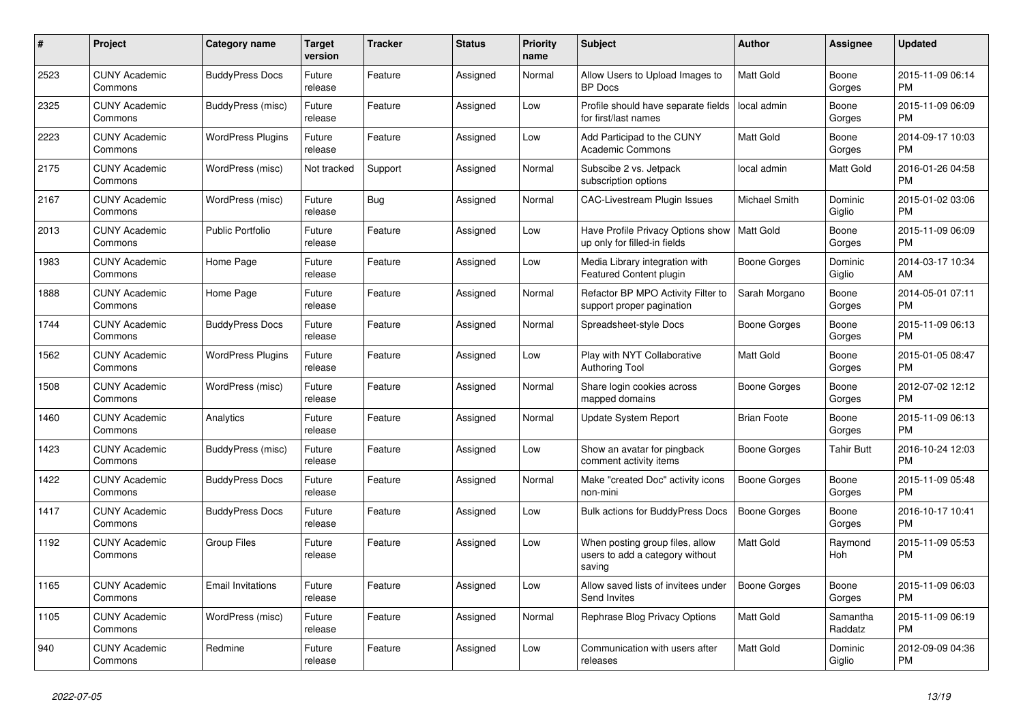| #    | Project                         | Category name            | <b>Target</b><br>version | <b>Tracker</b> | <b>Status</b> | Priority<br>name | <b>Subject</b>                                                               | <b>Author</b>       | Assignee            | <b>Updated</b>                |
|------|---------------------------------|--------------------------|--------------------------|----------------|---------------|------------------|------------------------------------------------------------------------------|---------------------|---------------------|-------------------------------|
| 2523 | <b>CUNY Academic</b><br>Commons | <b>BuddyPress Docs</b>   | Future<br>release        | Feature        | Assigned      | Normal           | Allow Users to Upload Images to<br><b>BP</b> Docs                            | <b>Matt Gold</b>    | Boone<br>Gorges     | 2015-11-09 06:14<br><b>PM</b> |
| 2325 | <b>CUNY Academic</b><br>Commons | BuddyPress (misc)        | Future<br>release        | Feature        | Assigned      | Low              | Profile should have separate fields<br>for first/last names                  | local admin         | Boone<br>Gorges     | 2015-11-09 06:09<br><b>PM</b> |
| 2223 | <b>CUNY Academic</b><br>Commons | <b>WordPress Plugins</b> | Future<br>release        | Feature        | Assigned      | Low              | Add Participad to the CUNY<br><b>Academic Commons</b>                        | Matt Gold           | Boone<br>Gorges     | 2014-09-17 10:03<br><b>PM</b> |
| 2175 | <b>CUNY Academic</b><br>Commons | WordPress (misc)         | Not tracked              | Support        | Assigned      | Normal           | Subscibe 2 vs. Jetpack<br>subscription options                               | local admin         | Matt Gold           | 2016-01-26 04:58<br><b>PM</b> |
| 2167 | <b>CUNY Academic</b><br>Commons | WordPress (misc)         | Future<br>release        | <b>Bug</b>     | Assigned      | Normal           | <b>CAC-Livestream Plugin Issues</b>                                          | Michael Smith       | Dominic<br>Giglio   | 2015-01-02 03:06<br><b>PM</b> |
| 2013 | <b>CUNY Academic</b><br>Commons | <b>Public Portfolio</b>  | Future<br>release        | Feature        | Assigned      | Low              | Have Profile Privacy Options show<br>up only for filled-in fields            | Matt Gold           | Boone<br>Gorges     | 2015-11-09 06:09<br><b>PM</b> |
| 1983 | <b>CUNY Academic</b><br>Commons | Home Page                | Future<br>release        | Feature        | Assigned      | Low              | Media Library integration with<br>Featured Content plugin                    | Boone Gorges        | Dominic<br>Giglio   | 2014-03-17 10:34<br>AM        |
| 1888 | <b>CUNY Academic</b><br>Commons | Home Page                | Future<br>release        | Feature        | Assigned      | Normal           | Refactor BP MPO Activity Filter to<br>support proper pagination              | Sarah Morgano       | Boone<br>Gorges     | 2014-05-01 07:11<br><b>PM</b> |
| 1744 | <b>CUNY Academic</b><br>Commons | <b>BuddyPress Docs</b>   | Future<br>release        | Feature        | Assigned      | Normal           | Spreadsheet-style Docs                                                       | Boone Gorges        | Boone<br>Gorges     | 2015-11-09 06:13<br><b>PM</b> |
| 1562 | <b>CUNY Academic</b><br>Commons | <b>WordPress Plugins</b> | Future<br>release        | Feature        | Assigned      | Low              | Play with NYT Collaborative<br>Authoring Tool                                | <b>Matt Gold</b>    | Boone<br>Gorges     | 2015-01-05 08:47<br><b>PM</b> |
| 1508 | <b>CUNY Academic</b><br>Commons | WordPress (misc)         | Future<br>release        | Feature        | Assigned      | Normal           | Share login cookies across<br>mapped domains                                 | Boone Gorges        | Boone<br>Gorges     | 2012-07-02 12:12<br><b>PM</b> |
| 1460 | <b>CUNY Academic</b><br>Commons | Analytics                | Future<br>release        | Feature        | Assigned      | Normal           | <b>Update System Report</b>                                                  | <b>Brian Foote</b>  | Boone<br>Gorges     | 2015-11-09 06:13<br><b>PM</b> |
| 1423 | <b>CUNY Academic</b><br>Commons | BuddyPress (misc)        | Future<br>release        | Feature        | Assigned      | Low              | Show an avatar for pingback<br>comment activity items                        | Boone Gorges        | Tahir Butt          | 2016-10-24 12:03<br><b>PM</b> |
| 1422 | <b>CUNY Academic</b><br>Commons | <b>BuddyPress Docs</b>   | Future<br>release        | Feature        | Assigned      | Normal           | Make "created Doc" activity icons<br>non-mini                                | <b>Boone Gorges</b> | Boone<br>Gorges     | 2015-11-09 05:48<br><b>PM</b> |
| 1417 | <b>CUNY Academic</b><br>Commons | <b>BuddyPress Docs</b>   | Future<br>release        | Feature        | Assigned      | Low              | <b>Bulk actions for BuddyPress Docs</b>                                      | Boone Gorges        | Boone<br>Gorges     | 2016-10-17 10:41<br><b>PM</b> |
| 1192 | <b>CUNY Academic</b><br>Commons | <b>Group Files</b>       | Future<br>release        | Feature        | Assigned      | Low              | When posting group files, allow<br>users to add a category without<br>saving | Matt Gold           | Raymond<br>Hoh      | 2015-11-09 05:53<br><b>PM</b> |
| 1165 | <b>CUNY Academic</b><br>Commons | <b>Email Invitations</b> | Future<br>release        | Feature        | Assigned      | Low              | Allow saved lists of invitees under<br>Send Invites                          | Boone Gorges        | Boone<br>Gorges     | 2015-11-09 06:03<br><b>PM</b> |
| 1105 | <b>CUNY Academic</b><br>Commons | WordPress (misc)         | Future<br>release        | Feature        | Assigned      | Normal           | Rephrase Blog Privacy Options                                                | Matt Gold           | Samantha<br>Raddatz | 2015-11-09 06:19<br><b>PM</b> |
| 940  | <b>CUNY Academic</b><br>Commons | Redmine                  | Future<br>release        | Feature        | Assigned      | Low              | Communication with users after<br>releases                                   | <b>Matt Gold</b>    | Dominic<br>Giglio   | 2012-09-09 04:36<br><b>PM</b> |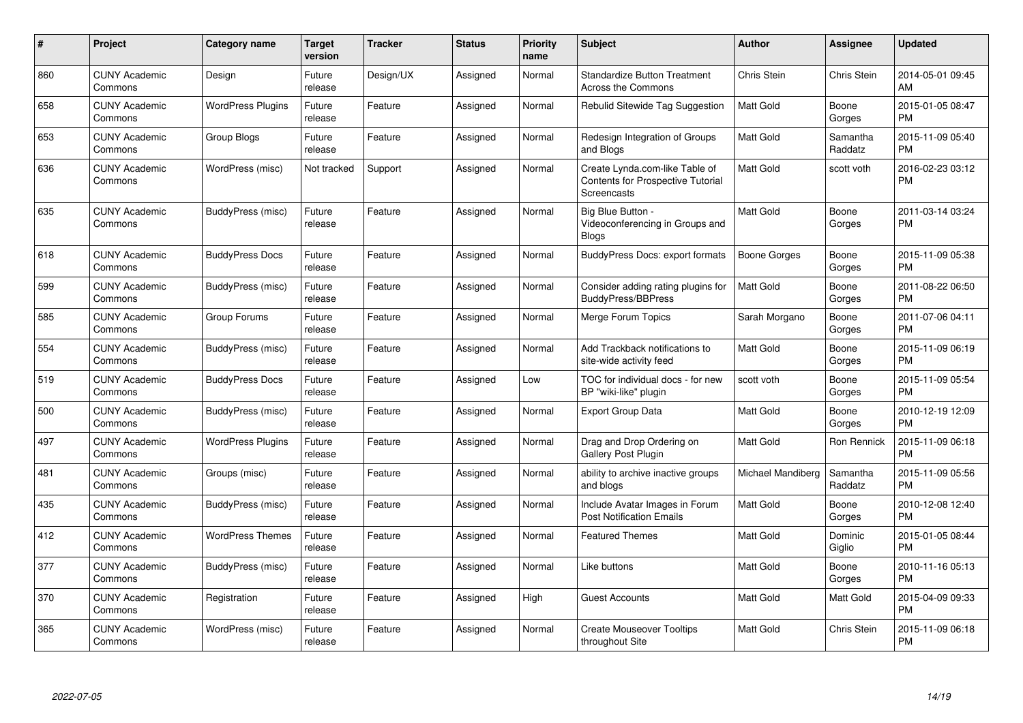| #   | Project                         | <b>Category name</b>     | <b>Target</b><br>version | <b>Tracker</b> | <b>Status</b> | <b>Priority</b><br>name | <b>Subject</b>                                                                            | <b>Author</b>     | <b>Assignee</b>     | <b>Updated</b>                |
|-----|---------------------------------|--------------------------|--------------------------|----------------|---------------|-------------------------|-------------------------------------------------------------------------------------------|-------------------|---------------------|-------------------------------|
| 860 | <b>CUNY Academic</b><br>Commons | Design                   | Future<br>release        | Design/UX      | Assigned      | Normal                  | <b>Standardize Button Treatment</b><br>Across the Commons                                 | Chris Stein       | Chris Stein         | 2014-05-01 09:45<br>AM        |
| 658 | <b>CUNY Academic</b><br>Commons | <b>WordPress Plugins</b> | Future<br>release        | Feature        | Assigned      | Normal                  | Rebulid Sitewide Tag Suggestion                                                           | <b>Matt Gold</b>  | Boone<br>Gorges     | 2015-01-05 08:47<br><b>PM</b> |
| 653 | <b>CUNY Academic</b><br>Commons | Group Blogs              | Future<br>release        | Feature        | Assigned      | Normal                  | Redesign Integration of Groups<br>and Blogs                                               | Matt Gold         | Samantha<br>Raddatz | 2015-11-09 05:40<br><b>PM</b> |
| 636 | <b>CUNY Academic</b><br>Commons | WordPress (misc)         | Not tracked              | Support        | Assigned      | Normal                  | Create Lynda.com-like Table of<br><b>Contents for Prospective Tutorial</b><br>Screencasts | <b>Matt Gold</b>  | scott voth          | 2016-02-23 03:12<br><b>PM</b> |
| 635 | <b>CUNY Academic</b><br>Commons | BuddyPress (misc)        | Future<br>release        | Feature        | Assigned      | Normal                  | Big Blue Button -<br>Videoconferencing in Groups and<br><b>Blogs</b>                      | <b>Matt Gold</b>  | Boone<br>Gorges     | 2011-03-14 03:24<br><b>PM</b> |
| 618 | <b>CUNY Academic</b><br>Commons | <b>BuddyPress Docs</b>   | Future<br>release        | Feature        | Assigned      | Normal                  | <b>BuddyPress Docs: export formats</b>                                                    | Boone Gorges      | Boone<br>Gorges     | 2015-11-09 05:38<br><b>PM</b> |
| 599 | <b>CUNY Academic</b><br>Commons | BuddyPress (misc)        | Future<br>release        | Feature        | Assigned      | Normal                  | Consider adding rating plugins for<br>BuddyPress/BBPress                                  | <b>Matt Gold</b>  | Boone<br>Gorges     | 2011-08-22 06:50<br><b>PM</b> |
| 585 | <b>CUNY Academic</b><br>Commons | Group Forums             | Future<br>release        | Feature        | Assigned      | Normal                  | Merge Forum Topics                                                                        | Sarah Morgano     | Boone<br>Gorges     | 2011-07-06 04:11<br><b>PM</b> |
| 554 | <b>CUNY Academic</b><br>Commons | BuddyPress (misc)        | Future<br>release        | Feature        | Assigned      | Normal                  | Add Trackback notifications to<br>site-wide activity feed                                 | <b>Matt Gold</b>  | Boone<br>Gorges     | 2015-11-09 06:19<br><b>PM</b> |
| 519 | <b>CUNY Academic</b><br>Commons | <b>BuddyPress Docs</b>   | Future<br>release        | Feature        | Assigned      | Low                     | TOC for individual docs - for new<br>BP "wiki-like" plugin                                | scott voth        | Boone<br>Gorges     | 2015-11-09 05:54<br><b>PM</b> |
| 500 | <b>CUNY Academic</b><br>Commons | BuddyPress (misc)        | Future<br>release        | Feature        | Assigned      | Normal                  | <b>Export Group Data</b>                                                                  | <b>Matt Gold</b>  | Boone<br>Gorges     | 2010-12-19 12:09<br><b>PM</b> |
| 497 | <b>CUNY Academic</b><br>Commons | <b>WordPress Plugins</b> | Future<br>release        | Feature        | Assigned      | Normal                  | Drag and Drop Ordering on<br>Gallery Post Plugin                                          | <b>Matt Gold</b>  | Ron Rennick         | 2015-11-09 06:18<br><b>PM</b> |
| 481 | <b>CUNY Academic</b><br>Commons | Groups (misc)            | Future<br>release        | Feature        | Assigned      | Normal                  | ability to archive inactive groups<br>and blogs                                           | Michael Mandiberg | Samantha<br>Raddatz | 2015-11-09 05:56<br><b>PM</b> |
| 435 | <b>CUNY Academic</b><br>Commons | BuddyPress (misc)        | Future<br>release        | Feature        | Assigned      | Normal                  | Include Avatar Images in Forum<br><b>Post Notification Emails</b>                         | <b>Matt Gold</b>  | Boone<br>Gorges     | 2010-12-08 12:40<br><b>PM</b> |
| 412 | <b>CUNY Academic</b><br>Commons | <b>WordPress Themes</b>  | Future<br>release        | Feature        | Assigned      | Normal                  | <b>Featured Themes</b>                                                                    | Matt Gold         | Dominic<br>Giglio   | 2015-01-05 08:44<br><b>PM</b> |
| 377 | <b>CUNY Academic</b><br>Commons | BuddyPress (misc)        | Future<br>release        | Feature        | Assigned      | Normal                  | Like buttons                                                                              | <b>Matt Gold</b>  | Boone<br>Gorges     | 2010-11-16 05:13<br><b>PM</b> |
| 370 | <b>CUNY Academic</b><br>Commons | Registration             | Future<br>release        | Feature        | Assigned      | High                    | <b>Guest Accounts</b>                                                                     | <b>Matt Gold</b>  | Matt Gold           | 2015-04-09 09:33<br><b>PM</b> |
| 365 | <b>CUNY Academic</b><br>Commons | WordPress (misc)         | Future<br>release        | Feature        | Assigned      | Normal                  | <b>Create Mouseover Tooltips</b><br>throughout Site                                       | <b>Matt Gold</b>  | Chris Stein         | 2015-11-09 06:18<br><b>PM</b> |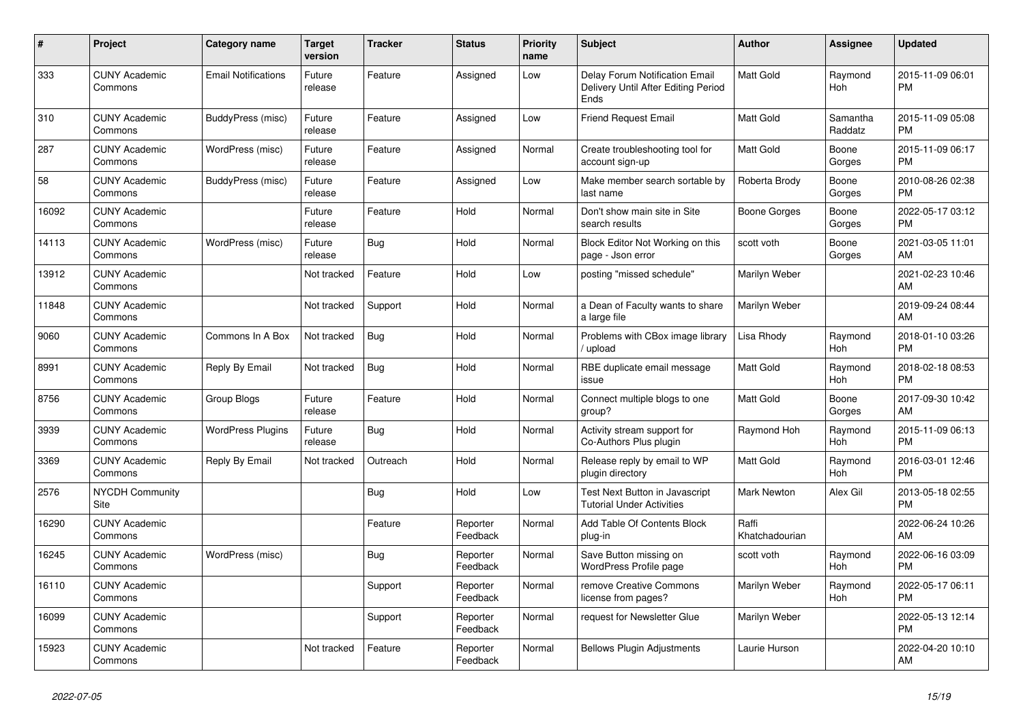| #     | Project                         | <b>Category name</b>       | <b>Target</b><br>version | <b>Tracker</b> | <b>Status</b>        | Priority<br>name | <b>Subject</b>                                                                       | <b>Author</b>           | Assignee            | <b>Updated</b>                |
|-------|---------------------------------|----------------------------|--------------------------|----------------|----------------------|------------------|--------------------------------------------------------------------------------------|-------------------------|---------------------|-------------------------------|
| 333   | <b>CUNY Academic</b><br>Commons | <b>Email Notifications</b> | Future<br>release        | Feature        | Assigned             | Low              | <b>Delay Forum Notification Email</b><br>Delivery Until After Editing Period<br>Ends | <b>Matt Gold</b>        | Raymond<br>Hoh      | 2015-11-09 06:01<br><b>PM</b> |
| 310   | <b>CUNY Academic</b><br>Commons | BuddyPress (misc)          | Future<br>release        | Feature        | Assigned             | Low              | <b>Friend Request Email</b>                                                          | <b>Matt Gold</b>        | Samantha<br>Raddatz | 2015-11-09 05:08<br><b>PM</b> |
| 287   | <b>CUNY Academic</b><br>Commons | WordPress (misc)           | Future<br>release        | Feature        | Assigned             | Normal           | Create troubleshooting tool for<br>account sign-up                                   | <b>Matt Gold</b>        | Boone<br>Gorges     | 2015-11-09 06:17<br><b>PM</b> |
| 58    | <b>CUNY Academic</b><br>Commons | BuddyPress (misc)          | Future<br>release        | Feature        | Assigned             | Low              | Make member search sortable by<br>last name                                          | Roberta Brody           | Boone<br>Gorges     | 2010-08-26 02:38<br><b>PM</b> |
| 16092 | <b>CUNY Academic</b><br>Commons |                            | Future<br>release        | Feature        | Hold                 | Normal           | Don't show main site in Site<br>search results                                       | Boone Gorges            | Boone<br>Gorges     | 2022-05-17 03:12<br><b>PM</b> |
| 14113 | <b>CUNY Academic</b><br>Commons | WordPress (misc)           | Future<br>release        | Bug            | Hold                 | Normal           | Block Editor Not Working on this<br>page - Json error                                | scott voth              | Boone<br>Gorges     | 2021-03-05 11:01<br>AM        |
| 13912 | <b>CUNY Academic</b><br>Commons |                            | Not tracked              | Feature        | Hold                 | Low              | posting "missed schedule"                                                            | Marilyn Weber           |                     | 2021-02-23 10:46<br>AM        |
| 11848 | <b>CUNY Academic</b><br>Commons |                            | Not tracked              | Support        | Hold                 | Normal           | a Dean of Faculty wants to share<br>a large file                                     | Marilyn Weber           |                     | 2019-09-24 08:44<br>AM        |
| 9060  | <b>CUNY Academic</b><br>Commons | Commons In A Box           | Not tracked              | <b>Bug</b>     | Hold                 | Normal           | Problems with CBox image library<br>upload                                           | Lisa Rhody              | Raymond<br>Hoh      | 2018-01-10 03:26<br><b>PM</b> |
| 8991  | <b>CUNY Academic</b><br>Commons | Reply By Email             | Not tracked              | Bug            | Hold                 | Normal           | RBE duplicate email message<br>issue                                                 | <b>Matt Gold</b>        | Raymond<br>Hoh      | 2018-02-18 08:53<br><b>PM</b> |
| 8756  | <b>CUNY Academic</b><br>Commons | Group Blogs                | Future<br>release        | Feature        | Hold                 | Normal           | Connect multiple blogs to one<br>group?                                              | <b>Matt Gold</b>        | Boone<br>Gorges     | 2017-09-30 10:42<br>AM        |
| 3939  | <b>CUNY Academic</b><br>Commons | <b>WordPress Plugins</b>   | Future<br>release        | <b>Bug</b>     | Hold                 | Normal           | Activity stream support for<br>Co-Authors Plus plugin                                | Raymond Hoh             | Raymond<br>Hoh      | 2015-11-09 06:13<br><b>PM</b> |
| 3369  | <b>CUNY Academic</b><br>Commons | Reply By Email             | Not tracked              | Outreach       | Hold                 | Normal           | Release reply by email to WP<br>plugin directory                                     | <b>Matt Gold</b>        | Raymond<br>Hoh      | 2016-03-01 12:46<br><b>PM</b> |
| 2576  | <b>NYCDH Community</b><br>Site  |                            |                          | <b>Bug</b>     | Hold                 | Low              | Test Next Button in Javascript<br><b>Tutorial Under Activities</b>                   | <b>Mark Newton</b>      | Alex Gil            | 2013-05-18 02:55<br><b>PM</b> |
| 16290 | <b>CUNY Academic</b><br>Commons |                            |                          | Feature        | Reporter<br>Feedback | Normal           | Add Table Of Contents Block<br>plug-in                                               | Raffi<br>Khatchadourian |                     | 2022-06-24 10:26<br>AM        |
| 16245 | <b>CUNY Academic</b><br>Commons | WordPress (misc)           |                          | Bug            | Reporter<br>Feedback | Normal           | Save Button missing on<br>WordPress Profile page                                     | scott voth              | Raymond<br>Hoh      | 2022-06-16 03:09<br><b>PM</b> |
| 16110 | <b>CUNY Academic</b><br>Commons |                            |                          | Support        | Reporter<br>Feedback | Normal           | remove Creative Commons<br>license from pages?                                       | Marilyn Weber           | Raymond<br>Hoh      | 2022-05-17 06:11<br><b>PM</b> |
| 16099 | <b>CUNY Academic</b><br>Commons |                            |                          | Support        | Reporter<br>Feedback | Normal           | request for Newsletter Glue                                                          | Marilyn Weber           |                     | 2022-05-13 12:14<br><b>PM</b> |
| 15923 | <b>CUNY Academic</b><br>Commons |                            | Not tracked              | Feature        | Reporter<br>Feedback | Normal           | <b>Bellows Plugin Adjustments</b>                                                    | Laurie Hurson           |                     | 2022-04-20 10:10<br>AM        |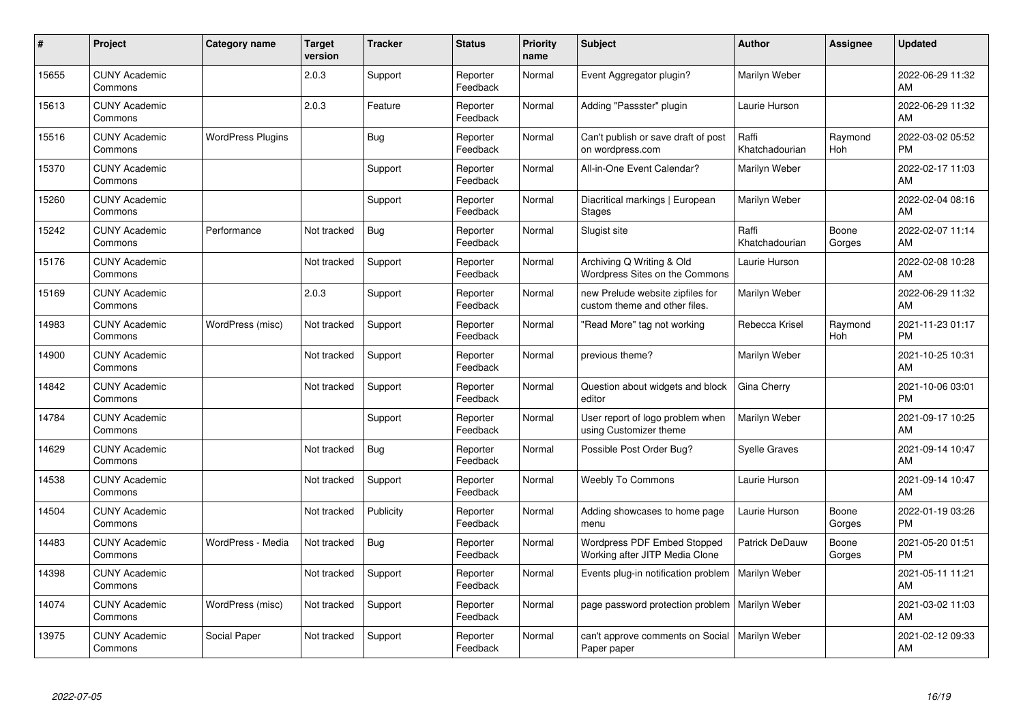| #     | Project                         | <b>Category name</b>     | <b>Target</b><br>version | <b>Tracker</b> | <b>Status</b>        | <b>Priority</b><br>name | <b>Subject</b>                                                    | <b>Author</b>           | <b>Assignee</b> | <b>Updated</b>                |
|-------|---------------------------------|--------------------------|--------------------------|----------------|----------------------|-------------------------|-------------------------------------------------------------------|-------------------------|-----------------|-------------------------------|
| 15655 | <b>CUNY Academic</b><br>Commons |                          | 2.0.3                    | Support        | Reporter<br>Feedback | Normal                  | Event Aggregator plugin?                                          | Marilyn Weber           |                 | 2022-06-29 11:32<br>AM        |
| 15613 | <b>CUNY Academic</b><br>Commons |                          | 2.0.3                    | Feature        | Reporter<br>Feedback | Normal                  | Adding "Passster" plugin                                          | Laurie Hurson           |                 | 2022-06-29 11:32<br>AM        |
| 15516 | <b>CUNY Academic</b><br>Commons | <b>WordPress Plugins</b> |                          | Bug            | Reporter<br>Feedback | Normal                  | Can't publish or save draft of post<br>on wordpress.com           | Raffi<br>Khatchadourian | Raymond<br>Hoh  | 2022-03-02 05:52<br><b>PM</b> |
| 15370 | <b>CUNY Academic</b><br>Commons |                          |                          | Support        | Reporter<br>Feedback | Normal                  | All-in-One Event Calendar?                                        | Marilyn Weber           |                 | 2022-02-17 11:03<br>AM        |
| 15260 | <b>CUNY Academic</b><br>Commons |                          |                          | Support        | Reporter<br>Feedback | Normal                  | Diacritical markings   European<br><b>Stages</b>                  | Marilyn Weber           |                 | 2022-02-04 08:16<br>AM        |
| 15242 | <b>CUNY Academic</b><br>Commons | Performance              | Not tracked              | Bug            | Reporter<br>Feedback | Normal                  | Slugist site                                                      | Raffi<br>Khatchadourian | Boone<br>Gorges | 2022-02-07 11:14<br>AM        |
| 15176 | <b>CUNY Academic</b><br>Commons |                          | Not tracked              | Support        | Reporter<br>Feedback | Normal                  | Archiving Q Writing & Old<br>Wordpress Sites on the Commons       | Laurie Hurson           |                 | 2022-02-08 10:28<br>AM        |
| 15169 | <b>CUNY Academic</b><br>Commons |                          | 2.0.3                    | Support        | Reporter<br>Feedback | Normal                  | new Prelude website zipfiles for<br>custom theme and other files. | Marilyn Weber           |                 | 2022-06-29 11:32<br>AM        |
| 14983 | <b>CUNY Academic</b><br>Commons | WordPress (misc)         | Not tracked              | Support        | Reporter<br>Feedback | Normal                  | "Read More" tag not working                                       | Rebecca Krisel          | Raymond<br>Hoh  | 2021-11-23 01:17<br><b>PM</b> |
| 14900 | <b>CUNY Academic</b><br>Commons |                          | Not tracked              | Support        | Reporter<br>Feedback | Normal                  | previous theme?                                                   | Marilyn Weber           |                 | 2021-10-25 10:31<br>AM        |
| 14842 | <b>CUNY Academic</b><br>Commons |                          | Not tracked              | Support        | Reporter<br>Feedback | Normal                  | Question about widgets and block<br>editor                        | Gina Cherry             |                 | 2021-10-06 03:01<br><b>PM</b> |
| 14784 | <b>CUNY Academic</b><br>Commons |                          |                          | Support        | Reporter<br>Feedback | Normal                  | User report of logo problem when<br>using Customizer theme        | Marilyn Weber           |                 | 2021-09-17 10:25<br>AM        |
| 14629 | <b>CUNY Academic</b><br>Commons |                          | Not tracked              | Bug            | Reporter<br>Feedback | Normal                  | Possible Post Order Bug?                                          | <b>Syelle Graves</b>    |                 | 2021-09-14 10:47<br>AM        |
| 14538 | <b>CUNY Academic</b><br>Commons |                          | Not tracked              | Support        | Reporter<br>Feedback | Normal                  | <b>Weebly To Commons</b>                                          | Laurie Hurson           |                 | 2021-09-14 10:47<br>AM        |
| 14504 | <b>CUNY Academic</b><br>Commons |                          | Not tracked              | Publicity      | Reporter<br>Feedback | Normal                  | Adding showcases to home page<br>menu                             | Laurie Hurson           | Boone<br>Gorges | 2022-01-19 03:26<br><b>PM</b> |
| 14483 | <b>CUNY Academic</b><br>Commons | WordPress - Media        | Not tracked              | Bug            | Reporter<br>Feedback | Normal                  | Wordpress PDF Embed Stopped<br>Working after JITP Media Clone     | Patrick DeDauw          | Boone<br>Gorges | 2021-05-20 01:51<br><b>PM</b> |
| 14398 | <b>CUNY Academic</b><br>Commons |                          | Not tracked              | Support        | Reporter<br>Feedback | Normal                  | Events plug-in notification problem                               | Marilyn Weber           |                 | 2021-05-11 11:21<br>AM        |
| 14074 | <b>CUNY Academic</b><br>Commons | WordPress (misc)         | Not tracked              | Support        | Reporter<br>Feedback | Normal                  | page password protection problem                                  | Marilyn Weber           |                 | 2021-03-02 11:03<br>AM        |
| 13975 | <b>CUNY Academic</b><br>Commons | Social Paper             | Not tracked              | Support        | Reporter<br>Feedback | Normal                  | can't approve comments on Social<br>Paper paper                   | Marilyn Weber           |                 | 2021-02-12 09:33<br>AM        |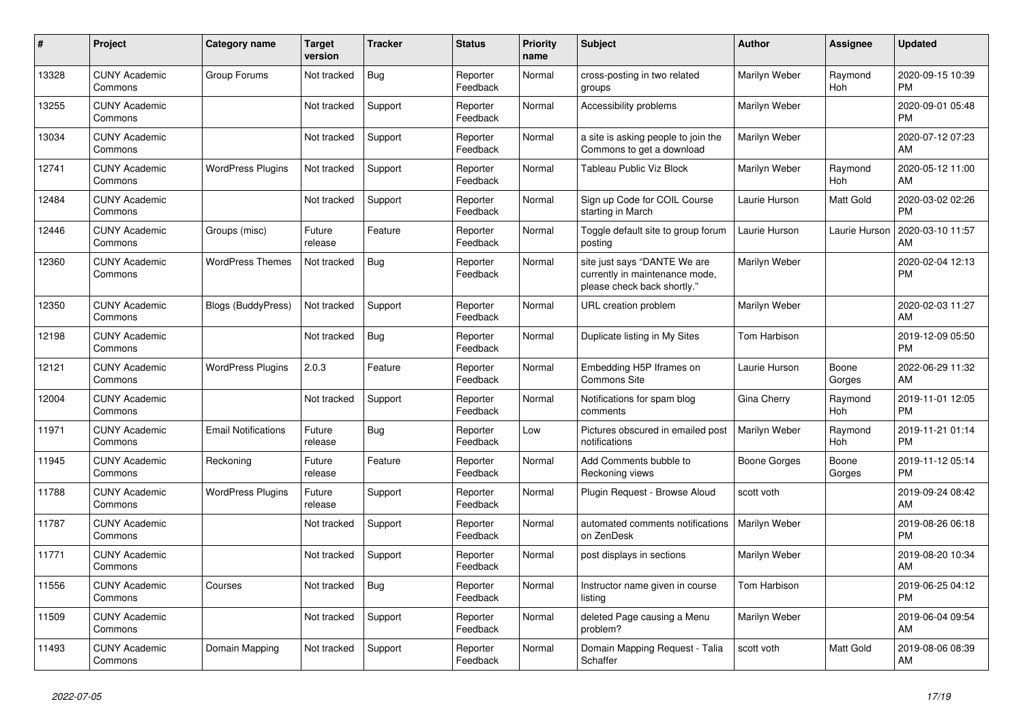| $\vert$ # | <b>Project</b>                  | <b>Category name</b>       | <b>Target</b><br>version | <b>Tracker</b> | <b>Status</b>        | <b>Priority</b><br>name | <b>Subject</b>                                                                                | <b>Author</b> | Assignee        | <b>Updated</b>                |
|-----------|---------------------------------|----------------------------|--------------------------|----------------|----------------------|-------------------------|-----------------------------------------------------------------------------------------------|---------------|-----------------|-------------------------------|
| 13328     | <b>CUNY Academic</b><br>Commons | Group Forums               | Not tracked              | Bug            | Reporter<br>Feedback | Normal                  | cross-posting in two related<br>groups                                                        | Marilyn Weber | Raymond<br>Hoh  | 2020-09-15 10:39<br><b>PM</b> |
| 13255     | <b>CUNY Academic</b><br>Commons |                            | Not tracked              | Support        | Reporter<br>Feedback | Normal                  | Accessibility problems                                                                        | Marilyn Weber |                 | 2020-09-01 05:48<br><b>PM</b> |
| 13034     | <b>CUNY Academic</b><br>Commons |                            | Not tracked              | Support        | Reporter<br>Feedback | Normal                  | a site is asking people to join the<br>Commons to get a download                              | Marilyn Weber |                 | 2020-07-12 07:23<br>AM        |
| 12741     | <b>CUNY Academic</b><br>Commons | <b>WordPress Plugins</b>   | Not tracked              | Support        | Reporter<br>Feedback | Normal                  | Tableau Public Viz Block                                                                      | Marilyn Weber | Raymond<br>Hoh  | 2020-05-12 11:00<br>AM        |
| 12484     | <b>CUNY Academic</b><br>Commons |                            | Not tracked              | Support        | Reporter<br>Feedback | Normal                  | Sign up Code for COIL Course<br>starting in March                                             | Laurie Hurson | Matt Gold       | 2020-03-02 02:26<br><b>PM</b> |
| 12446     | <b>CUNY Academic</b><br>Commons | Groups (misc)              | Future<br>release        | Feature        | Reporter<br>Feedback | Normal                  | Toggle default site to group forum<br>posting                                                 | Laurie Hurson | Laurie Hurson   | 2020-03-10 11:57<br>AM        |
| 12360     | <b>CUNY Academic</b><br>Commons | <b>WordPress Themes</b>    | Not tracked              | Bug            | Reporter<br>Feedback | Normal                  | site just says "DANTE We are<br>currently in maintenance mode,<br>please check back shortly." | Marilyn Weber |                 | 2020-02-04 12:13<br><b>PM</b> |
| 12350     | <b>CUNY Academic</b><br>Commons | <b>Blogs (BuddyPress)</b>  | Not tracked              | Support        | Reporter<br>Feedback | Normal                  | URL creation problem                                                                          | Marilyn Weber |                 | 2020-02-03 11:27<br><b>AM</b> |
| 12198     | <b>CUNY Academic</b><br>Commons |                            | Not tracked              | Bug            | Reporter<br>Feedback | Normal                  | Duplicate listing in My Sites                                                                 | Tom Harbison  |                 | 2019-12-09 05:50<br><b>PM</b> |
| 12121     | <b>CUNY Academic</b><br>Commons | <b>WordPress Plugins</b>   | 2.0.3                    | Feature        | Reporter<br>Feedback | Normal                  | Embedding H5P Iframes on<br>Commons Site                                                      | Laurie Hurson | Boone<br>Gorges | 2022-06-29 11:32<br>AM        |
| 12004     | <b>CUNY Academic</b><br>Commons |                            | Not tracked              | Support        | Reporter<br>Feedback | Normal                  | Notifications for spam blog<br>comments                                                       | Gina Cherry   | Raymond<br>Hoh  | 2019-11-01 12:05<br><b>PM</b> |
| 11971     | <b>CUNY Academic</b><br>Commons | <b>Email Notifications</b> | Future<br>release        | Bug            | Reporter<br>Feedback | Low                     | Pictures obscured in emailed post<br>notifications                                            | Marilyn Weber | Raymond<br>Hoh  | 2019-11-21 01:14<br><b>PM</b> |
| 11945     | <b>CUNY Academic</b><br>Commons | Reckoning                  | Future<br>release        | Feature        | Reporter<br>Feedback | Normal                  | Add Comments bubble to<br>Reckoning views                                                     | Boone Gorges  | Boone<br>Gorges | 2019-11-12 05:14<br><b>PM</b> |
| 11788     | <b>CUNY Academic</b><br>Commons | <b>WordPress Plugins</b>   | Future<br>release        | Support        | Reporter<br>Feedback | Normal                  | Plugin Request - Browse Aloud                                                                 | scott voth    |                 | 2019-09-24 08:42<br>AM        |
| 11787     | <b>CUNY Academic</b><br>Commons |                            | Not tracked              | Support        | Reporter<br>Feedback | Normal                  | automated comments notifications<br>on ZenDesk                                                | Marilyn Weber |                 | 2019-08-26 06:18<br><b>PM</b> |
| 11771     | <b>CUNY Academic</b><br>Commons |                            | Not tracked              | Support        | Reporter<br>Feedback | Normal                  | post displays in sections                                                                     | Marilyn Weber |                 | 2019-08-20 10:34<br><b>AM</b> |
| 11556     | <b>CUNY Academic</b><br>Commons | Courses                    | Not tracked              | Bug            | Reporter<br>Feedback | Normal                  | Instructor name given in course<br>listina                                                    | Tom Harbison  |                 | 2019-06-25 04:12<br><b>PM</b> |
| 11509     | <b>CUNY Academic</b><br>Commons |                            | Not tracked              | Support        | Reporter<br>Feedback | Normal                  | deleted Page causing a Menu<br>problem?                                                       | Marilyn Weber |                 | 2019-06-04 09:54<br>AM        |
| 11493     | <b>CUNY Academic</b><br>Commons | Domain Mapping             | Not tracked              | Support        | Reporter<br>Feedback | Normal                  | Domain Mapping Request - Talia<br>Schaffer                                                    | scott voth    | Matt Gold       | 2019-08-06 08:39<br>AM        |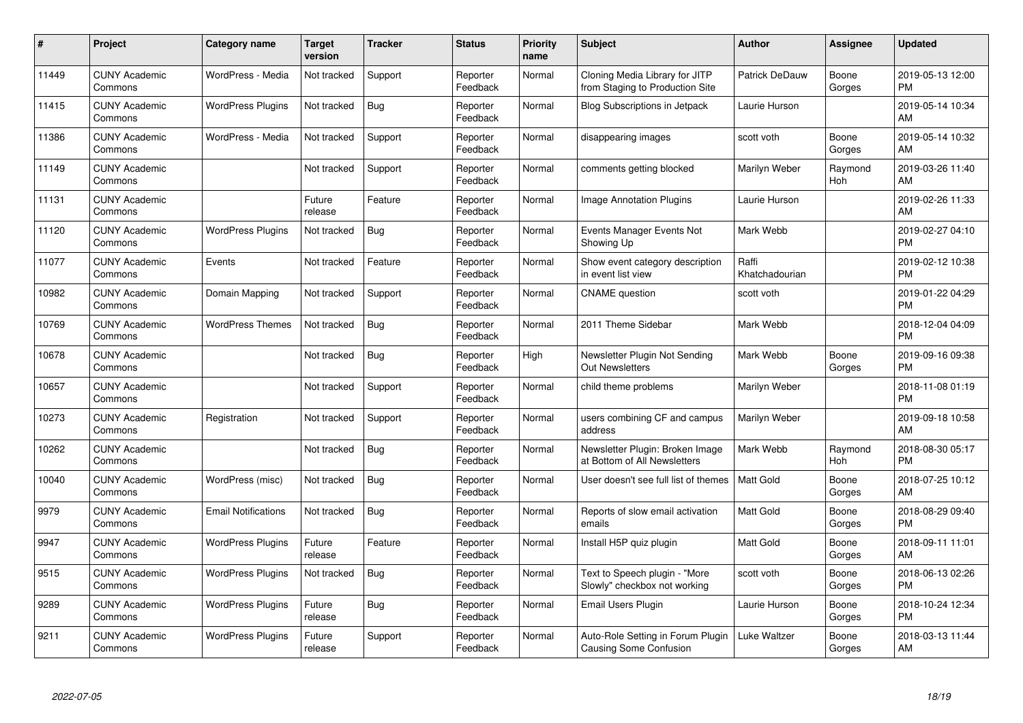| #     | Project                         | Category name              | Target<br>version | <b>Tracker</b> | <b>Status</b>        | <b>Priority</b><br>name | <b>Subject</b>                                                     | <b>Author</b>           | <b>Assignee</b> | <b>Updated</b>                |
|-------|---------------------------------|----------------------------|-------------------|----------------|----------------------|-------------------------|--------------------------------------------------------------------|-------------------------|-----------------|-------------------------------|
| 11449 | <b>CUNY Academic</b><br>Commons | WordPress - Media          | Not tracked       | Support        | Reporter<br>Feedback | Normal                  | Cloning Media Library for JITP<br>from Staging to Production Site  | <b>Patrick DeDauw</b>   | Boone<br>Gorges | 2019-05-13 12:00<br><b>PM</b> |
| 11415 | <b>CUNY Academic</b><br>Commons | <b>WordPress Plugins</b>   | Not tracked       | Bug            | Reporter<br>Feedback | Normal                  | <b>Blog Subscriptions in Jetpack</b>                               | Laurie Hurson           |                 | 2019-05-14 10:34<br>AM        |
| 11386 | <b>CUNY Academic</b><br>Commons | WordPress - Media          | Not tracked       | Support        | Reporter<br>Feedback | Normal                  | disappearing images                                                | scott voth              | Boone<br>Gorges | 2019-05-14 10:32<br>AM        |
| 11149 | <b>CUNY Academic</b><br>Commons |                            | Not tracked       | Support        | Reporter<br>Feedback | Normal                  | comments getting blocked                                           | Marilyn Weber           | Raymond<br>Hoh  | 2019-03-26 11:40<br><b>AM</b> |
| 11131 | <b>CUNY Academic</b><br>Commons |                            | Future<br>release | Feature        | Reporter<br>Feedback | Normal                  | Image Annotation Plugins                                           | Laurie Hurson           |                 | 2019-02-26 11:33<br><b>AM</b> |
| 11120 | <b>CUNY Academic</b><br>Commons | <b>WordPress Plugins</b>   | Not tracked       | Bug            | Reporter<br>Feedback | Normal                  | Events Manager Events Not<br>Showing Up                            | Mark Webb               |                 | 2019-02-27 04:10<br><b>PM</b> |
| 11077 | <b>CUNY Academic</b><br>Commons | Events                     | Not tracked       | Feature        | Reporter<br>Feedback | Normal                  | Show event category description<br>in event list view              | Raffi<br>Khatchadourian |                 | 2019-02-12 10:38<br><b>PM</b> |
| 10982 | <b>CUNY Academic</b><br>Commons | Domain Mapping             | Not tracked       | Support        | Reporter<br>Feedback | Normal                  | <b>CNAME</b> question                                              | scott voth              |                 | 2019-01-22 04:29<br><b>PM</b> |
| 10769 | <b>CUNY Academic</b><br>Commons | <b>WordPress Themes</b>    | Not tracked       | Bug            | Reporter<br>Feedback | Normal                  | 2011 Theme Sidebar                                                 | Mark Webb               |                 | 2018-12-04 04:09<br><b>PM</b> |
| 10678 | <b>CUNY Academic</b><br>Commons |                            | Not tracked       | Bug            | Reporter<br>Feedback | High                    | Newsletter Plugin Not Sending<br><b>Out Newsletters</b>            | Mark Webb               | Boone<br>Gorges | 2019-09-16 09:38<br><b>PM</b> |
| 10657 | <b>CUNY Academic</b><br>Commons |                            | Not tracked       | Support        | Reporter<br>Feedback | Normal                  | child theme problems                                               | Marilyn Weber           |                 | 2018-11-08 01:19<br><b>PM</b> |
| 10273 | <b>CUNY Academic</b><br>Commons | Registration               | Not tracked       | Support        | Reporter<br>Feedback | Normal                  | users combining CF and campus<br>address                           | Marilyn Weber           |                 | 2019-09-18 10:58<br>AM        |
| 10262 | <b>CUNY Academic</b><br>Commons |                            | Not tracked       | Bug            | Reporter<br>Feedback | Normal                  | Newsletter Plugin: Broken Image<br>at Bottom of All Newsletters    | Mark Webb               | Raymond<br>Hoh  | 2018-08-30 05:17<br><b>PM</b> |
| 10040 | <b>CUNY Academic</b><br>Commons | WordPress (misc)           | Not tracked       | <b>Bug</b>     | Reporter<br>Feedback | Normal                  | User doesn't see full list of themes                               | <b>Matt Gold</b>        | Boone<br>Gorges | 2018-07-25 10:12<br>AM        |
| 9979  | <b>CUNY Academic</b><br>Commons | <b>Email Notifications</b> | Not tracked       | <b>Bug</b>     | Reporter<br>Feedback | Normal                  | Reports of slow email activation<br>emails                         | Matt Gold               | Boone<br>Gorges | 2018-08-29 09:40<br><b>PM</b> |
| 9947  | <b>CUNY Academic</b><br>Commons | <b>WordPress Plugins</b>   | Future<br>release | Feature        | Reporter<br>Feedback | Normal                  | Install H5P quiz plugin                                            | Matt Gold               | Boone<br>Gorges | 2018-09-11 11:01<br><b>AM</b> |
| 9515  | <b>CUNY Academic</b><br>Commons | <b>WordPress Plugins</b>   | Not tracked       | Bug            | Reporter<br>Feedback | Normal                  | Text to Speech plugin - "More<br>Slowly" checkbox not working      | scott voth              | Boone<br>Gorges | 2018-06-13 02:26<br><b>PM</b> |
| 9289  | <b>CUNY Academic</b><br>Commons | <b>WordPress Plugins</b>   | Future<br>release | Bug            | Reporter<br>Feedback | Normal                  | Email Users Plugin                                                 | Laurie Hurson           | Boone<br>Gorges | 2018-10-24 12:34<br><b>PM</b> |
| 9211  | <b>CUNY Academic</b><br>Commons | <b>WordPress Plugins</b>   | Future<br>release | Support        | Reporter<br>Feedback | Normal                  | Auto-Role Setting in Forum Plugin<br><b>Causing Some Confusion</b> | Luke Waltzer            | Boone<br>Gorges | 2018-03-13 11:44<br>AM        |